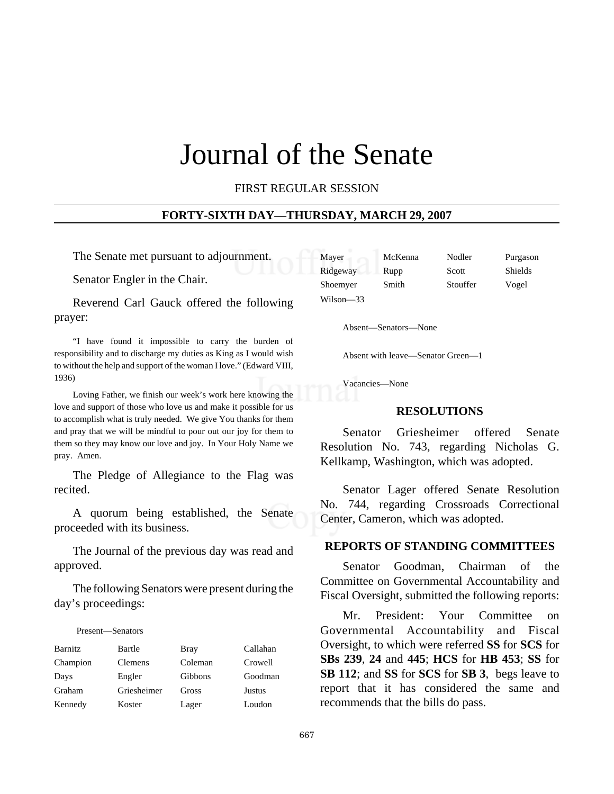# Journal of the Senate

FIRST REGULAR SESSION

#### **FORTY-SIXTH DAY—THURSDAY, MARCH 29, 2007**

The Senate met pursuant to adjournment.

Senator Engler in the Chair.

Reverend Carl Gauck offered the following prayer:

"I have found it impossible to carry the burden of responsibility and to discharge my duties as King as I would wish to without the help and support of the woman I love." (Edward VIII, 1936)

Loving Father, we finish our week's work here knowing the love and support of those who love us and make it possible for us to accomplish what is truly needed. We give You thanks for them and pray that we will be mindful to pour out our joy for them to them so they may know our love and joy. In Your Holy Name we pray. Amen.

The Pledge of Allegiance to the Flag was recited.

A quorum being established, the Senate proceeded with its business.

The Journal of the previous day was read and approved.

The following Senators were present during the day's proceedings:

#### Present—Senators

| Barnitz  | Bartle         | <b>Bray</b> | Callahan |
|----------|----------------|-------------|----------|
| Champion | <b>Clemens</b> | Coleman     | Crowell  |
| Days     | Engler         | Gibbons     | Goodman  |
| Graham   | Griesheimer    | Gross       | Justus   |
| Kennedy  | Koster         | Lager       | Loudon   |

| Mayer     | McKenna | Nodler   | Purgason       |
|-----------|---------|----------|----------------|
| Ridgeway  | Rupp    | Scott    | <b>Shields</b> |
| Shoemyer  | Smith   | Stouffer | Vogel          |
| Wilson—33 |         |          |                |

Absent—Senators—None

Absent with leave—Senator Green—1

Vacancies—None

#### **RESOLUTIONS**

Senator Griesheimer offered Senate Resolution No. 743, regarding Nicholas G. Kellkamp, Washington, which was adopted.

Senator Lager offered Senate Resolution No. 744, regarding Crossroads Correctional Center, Cameron, which was adopted.

#### **REPORTS OF STANDING COMMITTEES**

Senator Goodman, Chairman of the Committee on Governmental Accountability and Fiscal Oversight, submitted the following reports:

Mr. President: Your Committee on Governmental Accountability and Fiscal Oversight, to which were referred **SS** for **SCS** for **SBs 239**, **24** and **445**; **HCS** for **HB 453**; **SS** for **SB 112**; and **SS** for **SCS** for **SB 3**, begs leave to report that it has considered the same and recommends that the bills do pass.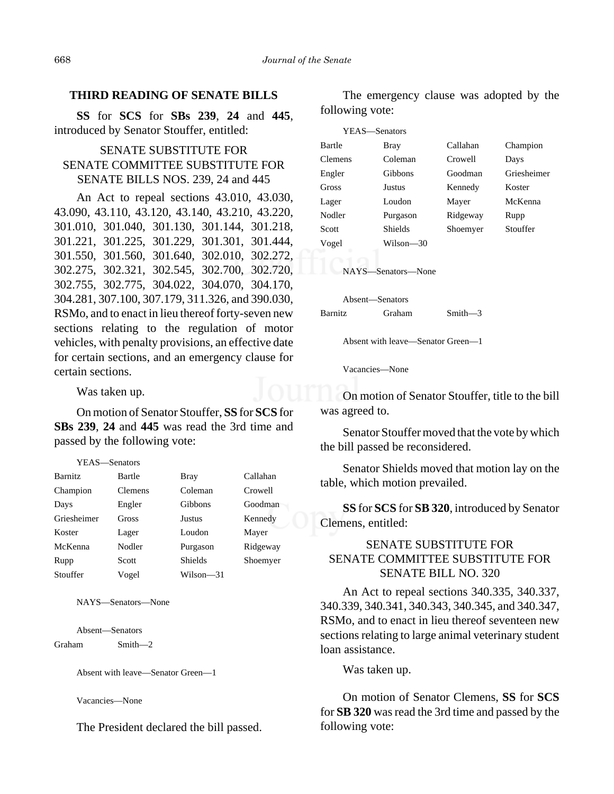#### **THIRD READING OF SENATE BILLS**

**SS** for **SCS** for **SBs 239**, **24** and **445**, introduced by Senator Stouffer, entitled:

## SENATE SUBSTITUTE FOR SENATE COMMITTEE SUBSTITUTE FOR SENATE BILLS NOS. 239, 24 and 445

An Act to repeal sections 43.010, 43.030, 43.090, 43.110, 43.120, 43.140, 43.210, 43.220, 301.010, 301.040, 301.130, 301.144, 301.218, 301.221, 301.225, 301.229, 301.301, 301.444, 301.550, 301.560, 301.640, 302.010, 302.272, 302.275, 302.321, 302.545, 302.700, 302.720, 302.755, 302.775, 304.022, 304.070, 304.170, 304.281, 307.100, 307.179, 311.326, and 390.030, RSMo, and to enact in lieu thereof forty-seven new sections relating to the regulation of motor vehicles, with penalty provisions, an effective date for certain sections, and an emergency clause for certain sections.

Was taken up.

On motion of Senator Stouffer, **SS** for **SCS** for **SBs 239**, **24** and **445** was read the 3rd time and passed by the following vote:

YEAS—Senators

| <b>Barnitz</b> | Bartle         | <b>Bray</b>    | Callahan |
|----------------|----------------|----------------|----------|
| Champion       | <b>Clemens</b> | Coleman        | Crowell  |
| Days           | Engler         | Gibbons        | Goodman  |
| Griesheimer    | Gross          | Justus         | Kennedy  |
| Koster         | Lager          | Loudon         | Mayer    |
| McKenna        | Nodler         | Purgason       | Ridgeway |
| Rupp           | Scott          | <b>Shields</b> | Shoemyer |
| Stouffer       | Vogel          | Wilson—31      |          |

NAYS—Senators—None

Absent—Senators Graham Smith—2

Absent with leave—Senator Green—1

Vacancies—None

The President declared the bill passed.

The emergency clause was adopted by the following vote:

| YEAS—Senators      |           |          |             |  |  |
|--------------------|-----------|----------|-------------|--|--|
| Bartle             | Bray      | Callahan | Champion    |  |  |
| <b>Clemens</b>     | Coleman   | Crowell  | Days        |  |  |
| Engler             | Gibbons   | Goodman  | Griesheimer |  |  |
| Gross              | Justus    | Kennedy  | Koster      |  |  |
| Lager              | Loudon    | Mayer    | McKenna     |  |  |
| Nodler             | Purgason  | Ridgeway | Rupp        |  |  |
| Scott              | Shields   | Shoemyer | Stouffer    |  |  |
| Vogel              | Wilson—30 |          |             |  |  |
|                    |           |          |             |  |  |
| NAYS-Senators-None |           |          |             |  |  |

Absent—Senators Barnitz Graham Smith—3

Absent with leave—Senator Green—1

Vacancies—None

On motion of Senator Stouffer, title to the bill was agreed to.

Senator Stouffer moved that the vote by which the bill passed be reconsidered.

Senator Shields moved that motion lay on the table, which motion prevailed.

**SS** for **SCS** for **SB 320**, introduced by Senator Clemens, entitled:

# SENATE SUBSTITUTE FOR SENATE COMMITTEE SUBSTITUTE FOR SENATE BILL NO. 320

An Act to repeal sections 340.335, 340.337, 340.339, 340.341, 340.343, 340.345, and 340.347, RSMo, and to enact in lieu thereof seventeen new sections relating to large animal veterinary student loan assistance.

Was taken up.

On motion of Senator Clemens, **SS** for **SCS** for **SB 320** was read the 3rd time and passed by the following vote: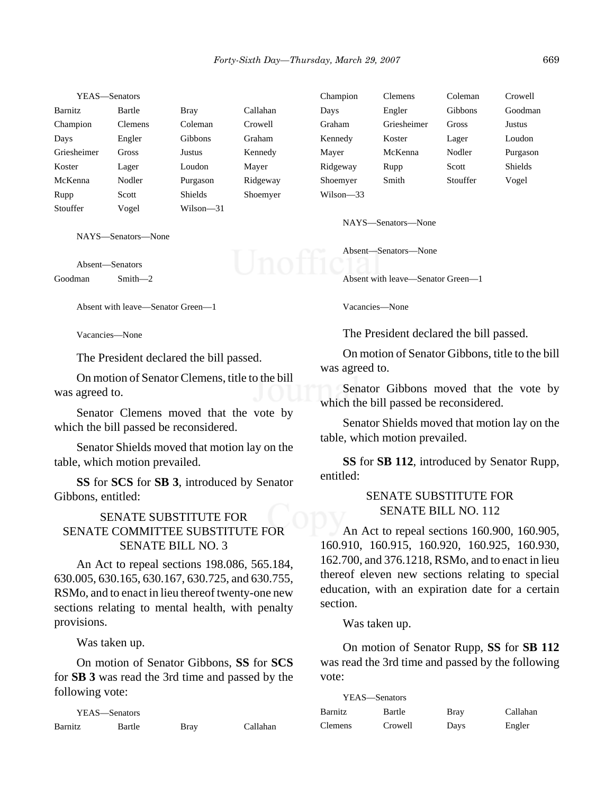| YEAS—Senators |                |                |          | Champion  | Clemens     | Coleman  | Crowell  |
|---------------|----------------|----------------|----------|-----------|-------------|----------|----------|
| Barnitz       | Bartle         | <b>Bray</b>    | Callahan | Days      | Engler      | Gibbons  | Goodman  |
| Champion      | <b>Clemens</b> | Coleman        | Crowell  | Graham    | Griesheimer | Gross    | Justus   |
| Days          | Engler         | <b>Gibbons</b> | Graham   | Kennedy   | Koster      | Lager    | Loudon   |
| Griesheimer   | <b>Gross</b>   | Justus         | Kennedy  | Mayer     | McKenna     | Nodler   | Purgason |
| Koster        | Lager          | Loudon         | Mayer    | Ridgeway  | Rupp        | Scott    | Shields  |
| McKenna       | Nodler         | Purgason       | Ridgeway | Shoemyer  | Smith       | Stouffer | Vogel    |
| Rupp          | Scott          | <b>Shields</b> | Shoemyer | Wilson—33 |             |          |          |
| Stouffer      | Vogel          | Wilson—31      |          |           |             |          |          |

NAYS—Senators—None

Absent—Senators Goodman Smith—2

Absent with leave—Senator Green—1

Vacancies—None

The President declared the bill passed.

On motion of Senator Clemens, title to the bill was agreed to.

Senator Clemens moved that the vote by which the bill passed be reconsidered.

Senator Shields moved that motion lay on the table, which motion prevailed.

**SS** for **SCS** for **SB 3**, introduced by Senator Gibbons, entitled:

## SENATE SUBSTITUTE FOR SENATE COMMITTEE SUBSTITUTE FOR SENATE BILL NO. 3

An Act to repeal sections 198.086, 565.184, 630.005, 630.165, 630.167, 630.725, and 630.755, RSMo, and to enact in lieu thereof twenty-one new sections relating to mental health, with penalty provisions.

Was taken up.

On motion of Senator Gibbons, **SS** for **SCS** for **SB 3** was read the 3rd time and passed by the following vote:

|         | YEAS—Senators |      |          |
|---------|---------------|------|----------|
| Barnitz | Bartle        | Bray | Callahan |

NAYS—Senators—None

Absent—Senators—None

Absent with leave—Senator Green—1

Vacancies—None

The President declared the bill passed.

On motion of Senator Gibbons, title to the bill was agreed to.

Senator Gibbons moved that the vote by which the bill passed be reconsidered.

Senator Shields moved that motion lay on the table, which motion prevailed.

**SS** for **SB 112**, introduced by Senator Rupp, entitled:

## SENATE SUBSTITUTE FOR SENATE BILL NO. 112

An Act to repeal sections 160.900, 160.905, 160.910, 160.915, 160.920, 160.925, 160.930, 162.700, and 376.1218, RSMo, and to enact in lieu thereof eleven new sections relating to special education, with an expiration date for a certain section.

Was taken up.

On motion of Senator Rupp, **SS** for **SB 112** was read the 3rd time and passed by the following vote:

| YEAS—Senators |         |      |          |
|---------------|---------|------|----------|
| Barnitz       | Bartle  | Bray | Callahan |
| Clemens       | Crowell | Days | Engler   |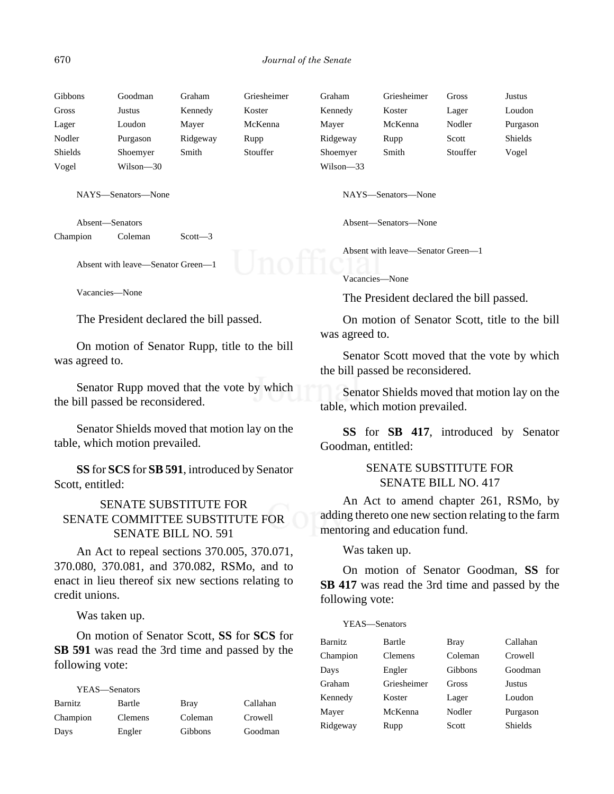| Gibbons | Goodman   | Graham   | Griesheimer | Graham    | Griesheimer | Gross    | Justus   |
|---------|-----------|----------|-------------|-----------|-------------|----------|----------|
| Gross   | Justus    | Kennedy  | Koster      | Kennedy   | Koster      | Lager    | Loudon   |
| Lager   | Loudon    | Maver    | McKenna     | Mayer     | McKenna     | Nodler   | Purgason |
| Nodler  | Purgason  | Ridgeway | Rupp        | Ridgeway  | Rupp        | Scott    | Shields  |
| Shields | Shoemyer  | Smith    | Stouffer    | Shoemyer  | Smith       | Stouffer | Vogel    |
| Vogel   | Wilson-30 |          |             | Wilson—33 |             |          |          |

NAYS—Senators—None

Absent—Senators Champion Coleman Scott-3

Absent with leave—Senator Green—1

Vacancies—None

The President declared the bill passed.

On motion of Senator Rupp, title to the bill was agreed to.

Senator Rupp moved that the vote by which the bill passed be reconsidered.

Senator Shields moved that motion lay on the table, which motion prevailed.

**SS** for **SCS** for **SB 591**, introduced by Senator Scott, entitled:

## SENATE SUBSTITUTE FOR SENATE COMMITTEE SUBSTITUTE FOR SENATE BILL NO. 591

An Act to repeal sections 370.005, 370.071, 370.080, 370.081, and 370.082, RSMo, and to enact in lieu thereof six new sections relating to credit unions.

Was taken up.

On motion of Senator Scott, **SS** for **SCS** for **SB 591** was read the 3rd time and passed by the following vote:

| YEAS—Senators |                |         |          |
|---------------|----------------|---------|----------|
| Barnitz       | Bartle         | Bray    | Callahan |
| Champion      | <b>Clemens</b> | Coleman | Crowell  |
| Days          | Engler         | Gibbons | Goodman  |

NAYS—Senators—None

Absent—Senators—None

Absent with leave—Senator Green—1

#### Vacancies—None

The President declared the bill passed.

On motion of Senator Scott, title to the bill was agreed to.

Senator Scott moved that the vote by which the bill passed be reconsidered.

Senator Shields moved that motion lay on the table, which motion prevailed.

**SS** for **SB 417**, introduced by Senator Goodman, entitled:

## SENATE SUBSTITUTE FOR SENATE BILL NO. 417

An Act to amend chapter 261, RSMo, by adding thereto one new section relating to the farm mentoring and education fund.

Was taken up.

On motion of Senator Goodman, **SS** for **SB 417** was read the 3rd time and passed by the following vote:

#### YEAS—Senators

| Barnitz  | Bartle      | <b>Bray</b> | Callahan       |
|----------|-------------|-------------|----------------|
| Champion | Clemens     | Coleman     | Crowell        |
| Days     | Engler      | Gibbons     | Goodman        |
| Graham   | Griesheimer | Gross       | <b>Justus</b>  |
| Kennedy  | Koster      | Lager       | Loudon         |
| Mayer    | McKenna     | Nodler      | Purgason       |
| Ridgeway | Rupp        | Scott       | <b>Shields</b> |
|          |             |             |                |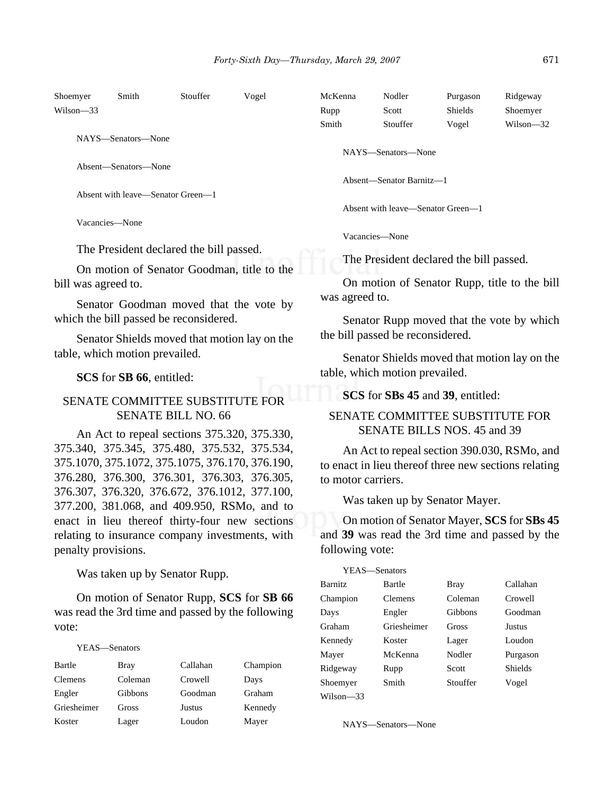| Shoemyer      | Smith                             | Stouffer | Vogel | McKenna | Nodler                            | Purgason       | Ridgeway      |
|---------------|-----------------------------------|----------|-------|---------|-----------------------------------|----------------|---------------|
| $Wilson - 33$ |                                   |          |       | Rupp    | Scott                             | <b>Shields</b> | Shoemyer      |
|               |                                   |          |       | Smith   | Stouffer                          | Vogel          | $Wilson - 32$ |
|               | NAYS—Senators—None                |          |       |         |                                   |                |               |
|               |                                   |          |       |         | NAYS—Senators—None                |                |               |
|               | Absent—Senators—None              |          |       |         |                                   |                |               |
|               |                                   |          |       |         | Absent—Senator Barnitz—1          |                |               |
|               | Absent with leave—Senator Green—1 |          |       |         |                                   |                |               |
|               |                                   |          |       |         | Absent with leave—Senator Green—1 |                |               |
|               | Vacancies—None                    |          |       |         |                                   |                |               |
|               |                                   |          |       |         | Vacancies-None                    |                |               |

The President declared the bill passed.

On motion of Senator Goodman, title to the bill was agreed to.

Senator Goodman moved that the vote by which the bill passed be reconsidered.

Senator Shields moved that motion lay on the table, which motion prevailed.

#### **SCS** for **SB 66**, entitled:

## SENATE COMMITTEE SUBSTITUTE FOR SENATE BILL NO. 66

An Act to repeal sections 375.320, 375.330, 375.340, 375.345, 375.480, 375.532, 375.534, 375.1070, 375.1072, 375.1075, 376.170, 376.190, 376.280, 376.300, 376.301, 376.303, 376.305, 376.307, 376.320, 376.672, 376.1012, 377.100, 377.200, 381.068, and 409.950, RSMo, and to enact in lieu thereof thirty-four new sections relating to insurance company investments, with penalty provisions.

Was taken up by Senator Rupp.

On motion of Senator Rupp, **SCS** for **SB 66** was read the 3rd time and passed by the following vote:

#### YEAS—Senators

| Bartle      | Bray    | Callahan      | Champion |
|-------------|---------|---------------|----------|
| Clemens     | Coleman | Crowell       | Days     |
| Engler      | Gibbons | Goodman       | Graham   |
| Griesheimer | Gross   | <b>Justus</b> | Kennedy  |
| Koster      | Lager   | Loudon        | Mayer    |

Vacancies—None

The President declared the bill passed.

On motion of Senator Rupp, title to the bill was agreed to.

Senator Rupp moved that the vote by which the bill passed be reconsidered.

Senator Shields moved that motion lay on the table, which motion prevailed.

#### **SCS** for **SBs 45** and **39**, entitled:

#### SENATE COMMITTEE SUBSTITUTE FOR SENATE BILLS NOS. 45 and 39

An Act to repeal section 390.030, RSMo, and to enact in lieu thereof three new sections relating to motor carriers.

Was taken up by Senator Mayer.

On motion of Senator Mayer, **SCS** for **SBs 45** and **39** was read the 3rd time and passed by the following vote:

| YEAS—Senators  |                |          |                |
|----------------|----------------|----------|----------------|
| <b>Barnitz</b> | Bartle         | Bray     | Callahan       |
| Champion       | <b>Clemens</b> | Coleman  | Crowell        |
| Days           | Engler         | Gibbons  | Goodman        |
| Graham         | Griesheimer    | Gross    | Justus         |
| Kennedy        | Koster         | Lager    | Loudon         |
| Mayer          | McKenna        | Nodler   | Purgason       |
| Ridgeway       | Rupp           | Scott    | <b>Shields</b> |
| Shoemver       | Smith          | Stouffer | Vogel          |
| Wilson—33      |                |          |                |

NAYS—Senators—None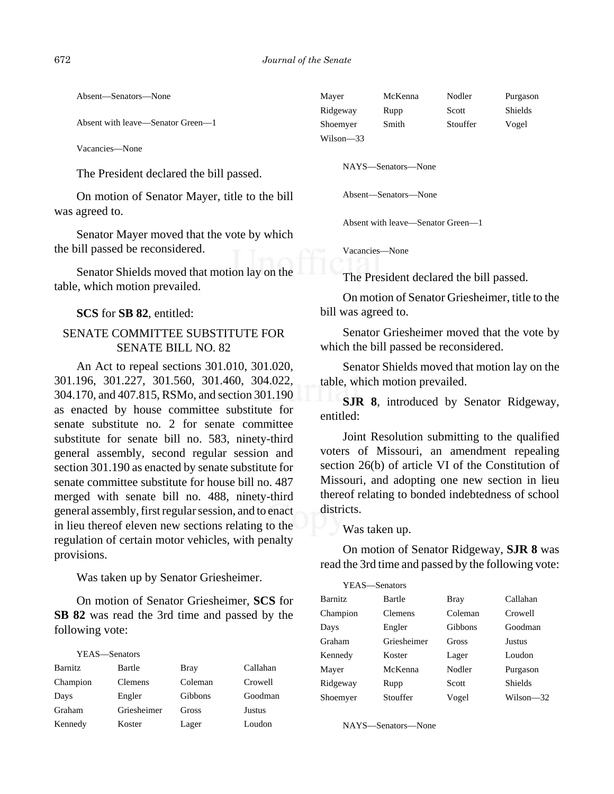Absent—Senators—None

Absent with leave—Senator Green—1

Vacancies—None

The President declared the bill passed.

On motion of Senator Mayer, title to the bill was agreed to.

Senator Mayer moved that the vote by which the bill passed be reconsidered.

Senator Shields moved that motion lay on the table, which motion prevailed.

**SCS** for **SB 82**, entitled:

## SENATE COMMITTEE SUBSTITUTE FOR SENATE BILL NO. 82

An Act to repeal sections 301.010, 301.020, 301.196, 301.227, 301.560, 301.460, 304.022, 304.170, and 407.815, RSMo, and section 301.190 as enacted by house committee substitute for senate substitute no. 2 for senate committee substitute for senate bill no. 583, ninety-third general assembly, second regular session and section 301.190 as enacted by senate substitute for senate committee substitute for house bill no. 487 merged with senate bill no. 488, ninety-third general assembly, first regular session, and to enact in lieu thereof eleven new sections relating to the regulation of certain motor vehicles, with penalty provisions.

Was taken up by Senator Griesheimer.

On motion of Senator Griesheimer, **SCS** for **SB 82** was read the 3rd time and passed by the following vote:

| YEAS—Senators  |                |             |               |
|----------------|----------------|-------------|---------------|
| <b>Barnitz</b> | Bartle         | <b>Bray</b> | Callahan      |
| Champion       | <b>Clemens</b> | Coleman     | Crowell       |
| Days           | Engler         | Gibbons     | Goodman       |
| Graham         | Griesheimer    | Gross       | <b>Justus</b> |
| Kennedy        | Koster         | Lager       | Loudon        |

| Mayer     | McKenna | Nodler   | Purgason |
|-----------|---------|----------|----------|
| Ridgeway  | Rupp    | Scott    | Shields  |
| Shoemyer  | Smith   | Stouffer | Vogel    |
| Wilson—33 |         |          |          |

NAYS—Senators—None

Absent—Senators—None

Absent with leave—Senator Green—1

Vacancies—None

The President declared the bill passed.

On motion of Senator Griesheimer, title to the bill was agreed to.

Senator Griesheimer moved that the vote by which the bill passed be reconsidered.

Senator Shields moved that motion lay on the table, which motion prevailed.

**SJR 8**, introduced by Senator Ridgeway, entitled:

Joint Resolution submitting to the qualified voters of Missouri, an amendment repealing section 26(b) of article VI of the Constitution of Missouri, and adopting one new section in lieu thereof relating to bonded indebtedness of school districts.

Was taken up.

On motion of Senator Ridgeway, **SJR 8** was read the 3rd time and passed by the following vote:

| YEAS-Senators  |                |         |                |
|----------------|----------------|---------|----------------|
| <b>Barnitz</b> | Bartle         | Bray    | Callahan       |
| Champion       | <b>Clemens</b> | Coleman | Crowell        |
| Days           | Engler         | Gibbons | Goodman        |
| Graham         | Griesheimer    | Gross   | <b>Justus</b>  |
| Kennedy        | Koster         | Lager   | Loudon         |
| Mayer          | McKenna        | Nodler  | Purgason       |
| Ridgeway       | Rupp           | Scott   | <b>Shields</b> |
| Shoemyer       | Stouffer       | Vogel   | Wilson—32      |

NAYS—Senators—None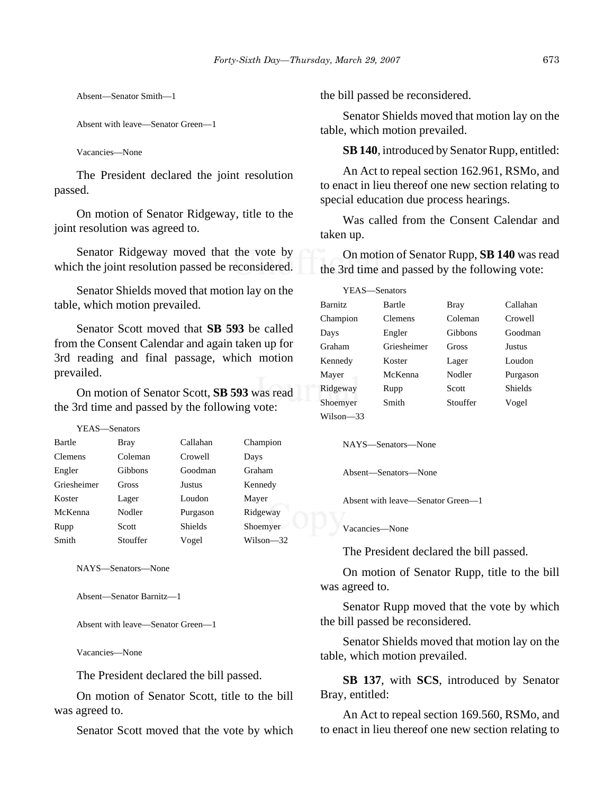Absent—Senator Smith—1

Absent with leave—Senator Green—1

Vacancies—None

The President declared the joint resolution passed.

On motion of Senator Ridgeway, title to the joint resolution was agreed to.

Senator Ridgeway moved that the vote by which the joint resolution passed be reconsidered.

Senator Shields moved that motion lay on the table, which motion prevailed.

Senator Scott moved that **SB 593** be called from the Consent Calendar and again taken up for 3rd reading and final passage, which motion prevailed.

On motion of Senator Scott, **SB 593** was read the 3rd time and passed by the following vote:

| Bartle         | <b>Bray</b> | Callahan       | Champion  |
|----------------|-------------|----------------|-----------|
| <b>Clemens</b> | Coleman     | Crowell        | Days      |
| Engler         | Gibbons     | Goodman        | Graham    |
| Griesheimer    | Gross       | Justus         | Kennedy   |
| Koster         | Lager       | Loudon         | Mayer     |
| McKenna        | Nodler      | Purgason       | Ridgeway  |
| Rupp           | Scott       | <b>Shields</b> | Shoemyer  |
| Smith          | Stouffer    | Vogel          | Wilson—32 |

NAYS—Senators—None

Absent—Senator Barnitz—1

Absent with leave—Senator Green—1

Vacancies—None

The President declared the bill passed.

On motion of Senator Scott, title to the bill was agreed to.

Senator Scott moved that the vote by which

the bill passed be reconsidered.

Senator Shields moved that motion lay on the table, which motion prevailed.

**SB 140**, introduced by Senator Rupp, entitled:

An Act to repeal section 162.961, RSMo, and to enact in lieu thereof one new section relating to special education due process hearings.

Was called from the Consent Calendar and taken up.

On motion of Senator Rupp, **SB 140** was read the 3rd time and passed by the following vote:

|                | YEAS—Senators |          |          |
|----------------|---------------|----------|----------|
| <b>Barnitz</b> | Bartle        | Bray     | Callahan |
| Champion       | Clemens       | Coleman  | Crowell  |
| Days           | Engler        | Gibbons  | Goodman  |
| Graham         | Griesheimer   | Gross    | Justus   |
| Kennedy        | Koster        | Lager    | Loudon   |
| Mayer          | McKenna       | Nodler   | Purgason |
| Ridgeway       | Rupp          | Scott    | Shields  |
| Shoemyer       | Smith         | Stouffer | Vogel    |
| Wilson-33      |               |          |          |

NAYS—Senators—None

Absent—Senators—None

Absent with leave—Senator Green—1

Vacancies—None

The President declared the bill passed.

On motion of Senator Rupp, title to the bill was agreed to.

Senator Rupp moved that the vote by which the bill passed be reconsidered.

Senator Shields moved that motion lay on the table, which motion prevailed.

**SB 137**, with **SCS**, introduced by Senator Bray, entitled:

An Act to repeal section 169.560, RSMo, and to enact in lieu thereof one new section relating to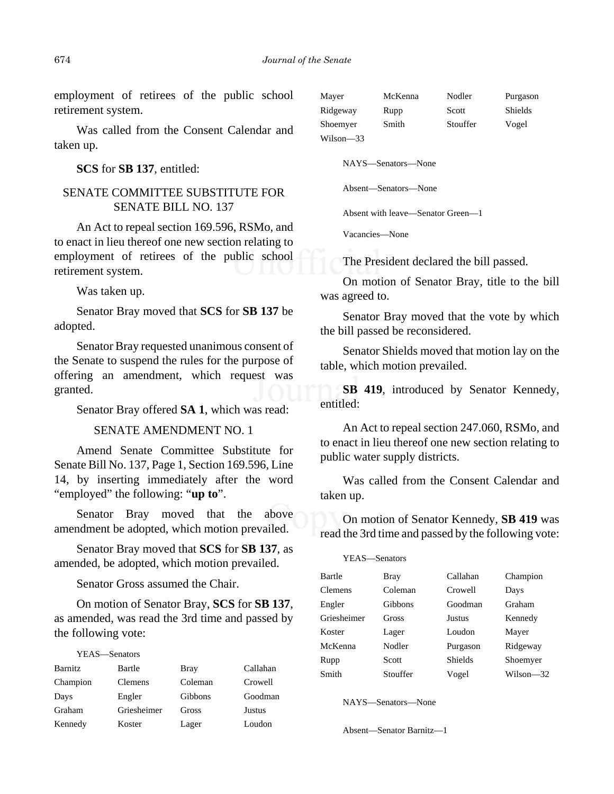employment of retirees of the public school retirement system.

Was called from the Consent Calendar and taken up.

**SCS** for **SB 137**, entitled:

## SENATE COMMITTEE SUBSTITUTE FOR SENATE BILL NO. 137

An Act to repeal section 169.596, RSMo, and to enact in lieu thereof one new section relating to employment of retirees of the public school retirement system.

Was taken up.

Senator Bray moved that **SCS** for **SB 137** be adopted.

Senator Bray requested unanimous consent of the Senate to suspend the rules for the purpose of offering an amendment, which request was granted.

Senator Bray offered **SA 1**, which was read:

#### SENATE AMENDMENT NO. 1

Amend Senate Committee Substitute for Senate Bill No. 137, Page 1, Section 169.596, Line 14, by inserting immediately after the word "employed" the following: "**up to**".

Senator Bray moved that the above amendment be adopted, which motion prevailed.

Senator Bray moved that **SCS** for **SB 137**, as amended, be adopted, which motion prevailed.

Senator Gross assumed the Chair.

On motion of Senator Bray, **SCS** for **SB 137**, as amended, was read the 3rd time and passed by the following vote:

|                | YEAS—Senators  |         |          |
|----------------|----------------|---------|----------|
| <b>Barnitz</b> | Bartle         | Bray    | Callahan |
| Champion       | <b>Clemens</b> | Coleman | Crowell  |
| Days           | Engler         | Gibbons | Goodman  |
| Graham         | Griesheimer    | Gross   | Justus   |
| Kennedy        | Koster         | Lager   | Loudon   |

| Mayer     | McKenna | Nodler   | Purgason |
|-----------|---------|----------|----------|
| Ridgeway  | Rupp    | Scott    | Shields  |
| Shoemver  | Smith   | Stouffer | Vogel    |
| Wilson—33 |         |          |          |

NAYS—Senators—None

Absent—Senators—None

Absent with leave—Senator Green—1

Vacancies—None

The President declared the bill passed.

On motion of Senator Bray, title to the bill was agreed to.

Senator Bray moved that the vote by which the bill passed be reconsidered.

Senator Shields moved that motion lay on the table, which motion prevailed.

**SB 419**, introduced by Senator Kennedy, entitled:

An Act to repeal section 247.060, RSMo, and to enact in lieu thereof one new section relating to public water supply districts.

Was called from the Consent Calendar and taken up.

On motion of Senator Kennedy, **SB 419** was read the 3rd time and passed by the following vote:

| Ridgeway          |
|-------------------|
| Shoemyer          |
| Wilson-32         |
| Graham<br>Kennedy |

NAYS—Senators—None

Absent—Senator Barnitz—1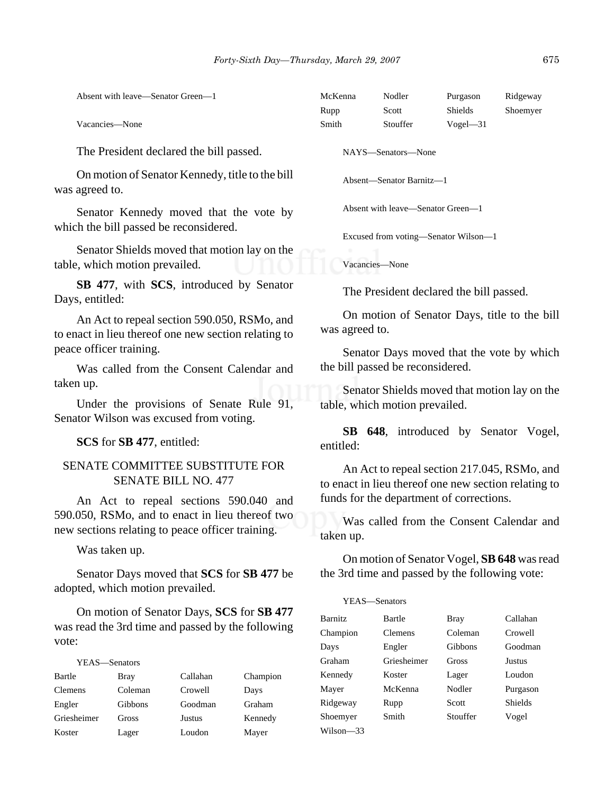| Absent with leave—Senator Green—1                                                                   | McKenna<br>Rupp                                                                | Nodler<br>Scott                   | Purgason<br>Shields | Ridgeway<br>Shoemyer                                                                                |  |
|-----------------------------------------------------------------------------------------------------|--------------------------------------------------------------------------------|-----------------------------------|---------------------|-----------------------------------------------------------------------------------------------------|--|
| Vacancies-None                                                                                      | Smith                                                                          | Stouffer                          | $Vogel - 31$        |                                                                                                     |  |
| The President declared the bill passed.                                                             | NAYS-Senators-None                                                             |                                   |                     |                                                                                                     |  |
| On motion of Senator Kennedy, title to the bill<br>was agreed to.                                   | Absent-Senator Barnitz-1                                                       |                                   |                     |                                                                                                     |  |
| Senator Kennedy moved that the vote by                                                              |                                                                                | Absent with leave-Senator Green-1 |                     |                                                                                                     |  |
| which the bill passed be reconsidered.                                                              | Excused from voting-Senator Wilson-1                                           |                                   |                     |                                                                                                     |  |
| Senator Shields moved that motion lay on the<br>table, which motion prevailed.                      | Vacancies-None                                                                 |                                   |                     |                                                                                                     |  |
| SB 477, with SCS, introduced by Senator<br>Days, entitled:                                          | The President declared the bill passed.                                        |                                   |                     |                                                                                                     |  |
| An Act to repeal section 590.050, RSMo, and<br>to enact in lieu thereof one new section relating to | On motion of Senator Days, title to the bill<br>was agreed to.                 |                                   |                     |                                                                                                     |  |
| peace officer training.                                                                             | Senator Days moved that the vote by which                                      |                                   |                     |                                                                                                     |  |
| Was called from the Consent Calendar and                                                            | the bill passed be reconsidered.                                               |                                   |                     |                                                                                                     |  |
| taken up.<br>Under the provisions of Senate Rule 91,<br>Senator Wilson was excused from voting.     | Senator Shields moved that motion lay on the<br>table, which motion prevailed. |                                   |                     |                                                                                                     |  |
| SCS for SB 477, entitled:                                                                           | <b>SB</b><br>entitled:                                                         |                                   |                     | <b>648</b> , introduced by Senator Vogel,                                                           |  |
| <b>SENATE COMMITTEE SUBSTITUTE FOR</b><br><b>SENATE BILL NO. 477</b>                                |                                                                                |                                   |                     | An Act to repeal section 217.045, RSMo, and<br>to enact in lieu thereof one new section relating to |  |

An Act to repeal sections 590.040 and 590.050, RSMo, and to enact in lieu thereof two new sections relating to peace officer training.

Was taken up.

Senator Days moved that **SCS** for **SB 477** be adopted, which motion prevailed.

On motion of Senator Days, **SCS** for **SB 477** was read the 3rd time and passed by the following vote:

| YEAS—Senators  |              |          |          |
|----------------|--------------|----------|----------|
| Bartle         | Bray         | Callahan | Champion |
| <b>Clemens</b> | Coleman      | Crowell  | Days     |
| Engler         | Gibbons      | Goodman  | Graham   |
| Griesheimer    | <b>Gross</b> | Justus   | Kennedy  |
| Koster         | Lager        | Loudon   | Mayer    |

to enact in lieu thereof one new section relating to funds for the department of corrections.

Was called from the Consent Calendar and taken up.

On motion of Senator Vogel, **SB 648** was read the 3rd time and passed by the following vote:

|                | YEAS—Senators |          |          |
|----------------|---------------|----------|----------|
| <b>Barnitz</b> | Bartle        | Bray     | Callahan |
| Champion       | Clemens       | Coleman  | Crowell  |
| Days           | Engler        | Gibbons  | Goodman  |
| Graham         | Griesheimer   | Gross    | Justus   |
| Kennedy        | Koster        | Lager    | Loudon   |
| Mayer          | McKenna       | Nodler   | Purgason |
| Ridgeway       | Rupp          | Scott    | Shields  |
| Shoemyer       | Smith         | Stouffer | Vogel    |
| Wilson-33      |               |          |          |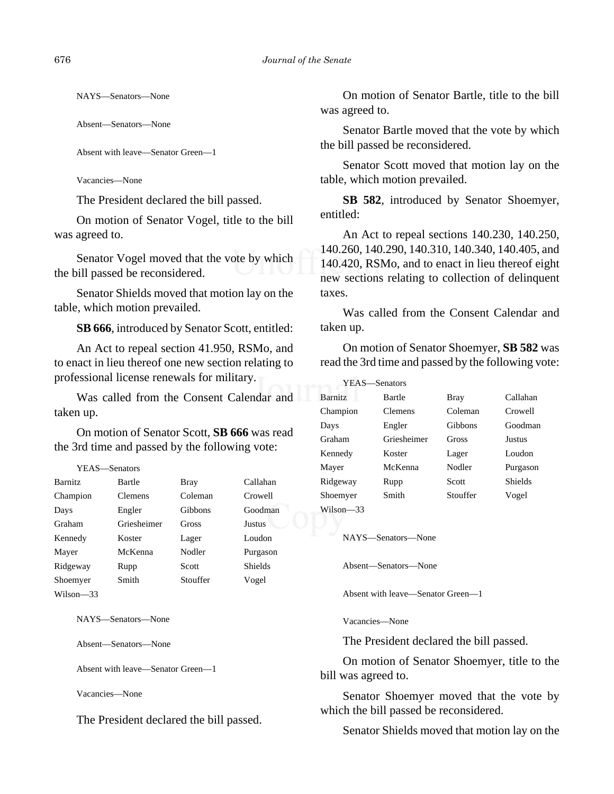NAYS—Senators—None

Absent—Senators—None

Absent with leave—Senator Green—1

Vacancies—None

The President declared the bill passed.

On motion of Senator Vogel, title to the bill was agreed to.

Senator Vogel moved that the vote by which the bill passed be reconsidered.

Senator Shields moved that motion lay on the table, which motion prevailed.

**SB 666**, introduced by Senator Scott, entitled:

An Act to repeal section 41.950, RSMo, and to enact in lieu thereof one new section relating to professional license renewals for military.

Was called from the Consent Calendar and taken up.

On motion of Senator Scott, **SB 666** was read the 3rd time and passed by the following vote:

| YEAS—Senators  |             |          |                |
|----------------|-------------|----------|----------------|
| <b>Barnitz</b> | Bartle      | Bray     | Callahan       |
| Champion       | Clemens     | Coleman  | Crowell        |
| Days           | Engler      | Gibbons  | Goodman        |
| Graham         | Griesheimer | Gross    | <b>Justus</b>  |
| Kennedy        | Koster      | Lager    | Loudon         |
| Mayer          | McKenna     | Nodler   | Purgason       |
| Ridgeway       | Rupp        | Scott    | <b>Shields</b> |
| Shoemyer       | Smith       | Stouffer | Vogel          |
| Wilson—33      |             |          |                |

NAYS—Senators—None

Absent—Senators—None

Absent with leave—Senator Green—1

Vacancies—None

The President declared the bill passed.

On motion of Senator Bartle, title to the bill was agreed to.

Senator Bartle moved that the vote by which the bill passed be reconsidered.

Senator Scott moved that motion lay on the table, which motion prevailed.

**SB 582**, introduced by Senator Shoemyer, entitled:

An Act to repeal sections 140.230, 140.250, 140.260, 140.290, 140.310, 140.340, 140.405, and 140.420, RSMo, and to enact in lieu thereof eight new sections relating to collection of delinquent taxes.

Was called from the Consent Calendar and taken up.

On motion of Senator Shoemyer, **SB 582** was read the 3rd time and passed by the following vote:

| <b>YEAS</b> —Senators |             |          |          |
|-----------------------|-------------|----------|----------|
| <b>Barnitz</b>        | Bartle      | Bray     | Callahan |
| Champion              | Clemens     | Coleman  | Crowell  |
| Days                  | Engler      | Gibbons  | Goodman  |
| Graham                | Griesheimer | Gross    | Justus   |
| Kennedy               | Koster      | Lager    | Loudon   |
| Mayer                 | McKenna     | Nodler   | Purgason |
| Ridgeway              | Rupp        | Scott    | Shields  |
| Shoemyer              | Smith       | Stouffer | Vogel    |
| Wilson-33             |             |          |          |

NAYS—Senators—None

Absent—Senators—None

Absent with leave—Senator Green—1

Vacancies—None

The President declared the bill passed.

On motion of Senator Shoemyer, title to the bill was agreed to.

Senator Shoemyer moved that the vote by which the bill passed be reconsidered.

Senator Shields moved that motion lay on the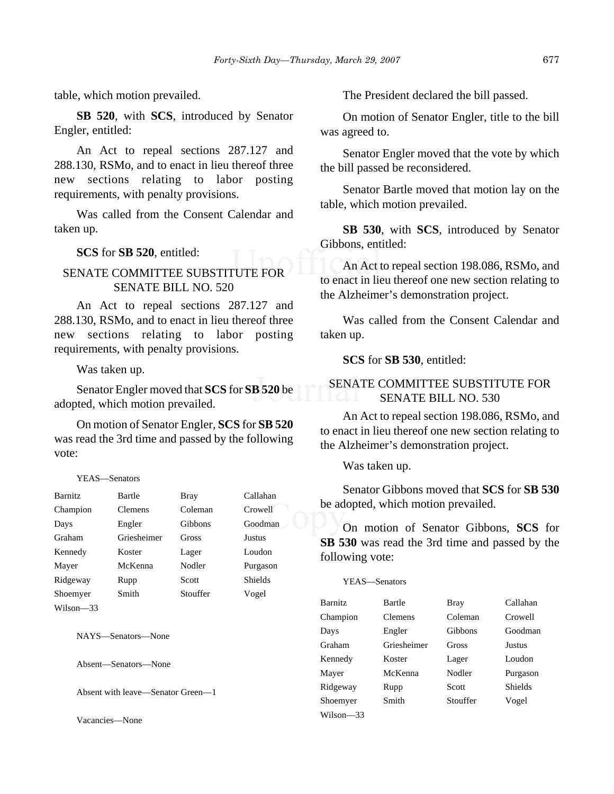table, which motion prevailed.

**SB 520**, with **SCS**, introduced by Senator Engler, entitled:

An Act to repeal sections 287.127 and 288.130, RSMo, and to enact in lieu thereof three new sections relating to labor posting requirements, with penalty provisions.

Was called from the Consent Calendar and taken up.

**SCS** for **SB 520**, entitled:

## SENATE COMMITTEE SUBSTITUTE FOR SENATE BILL NO. 520

An Act to repeal sections 287.127 and 288.130, RSMo, and to enact in lieu thereof three new sections relating to labor posting requirements, with penalty provisions.

Was taken up.

Senator Engler moved that **SCS** for **SB 520** be adopted, which motion prevailed.

On motion of Senator Engler, **SCS** for **SB 520** was read the 3rd time and passed by the following vote:

#### YEAS—Senators

| <b>Barnitz</b> | Bartle         | Bray     | Callahan       |
|----------------|----------------|----------|----------------|
| Champion       | <b>Clemens</b> | Coleman  | Crowell        |
| Days           | Engler         | Gibbons  | Goodman        |
| Graham         | Griesheimer    | Gross    | <b>Justus</b>  |
| Kennedy        | Koster         | Lager    | Loudon         |
| Mayer          | McKenna        | Nodler   | Purgason       |
| Ridgeway       | Rupp           | Scott    | <b>Shields</b> |
| Shoemyer       | Smith          | Stouffer | Vogel          |
| Wilson—33      |                |          |                |

NAYS—Senators—None

Absent—Senators—None

Absent with leave—Senator Green—1

Vacancies—None

The President declared the bill passed.

On motion of Senator Engler, title to the bill was agreed to.

Senator Engler moved that the vote by which the bill passed be reconsidered.

Senator Bartle moved that motion lay on the table, which motion prevailed.

**SB 530**, with **SCS**, introduced by Senator Gibbons, entitled:

An Act to repeal section 198.086, RSMo, and to enact in lieu thereof one new section relating to the Alzheimer's demonstration project.

Was called from the Consent Calendar and taken up.

**SCS** for **SB 530**, entitled:

#### SENATE COMMITTEE SUBSTITUTE FOR SENATE BILL NO. 530

An Act to repeal section 198.086, RSMo, and to enact in lieu thereof one new section relating to the Alzheimer's demonstration project.

Was taken up.

Senator Gibbons moved that **SCS** for **SB 530** be adopted, which motion prevailed.

On motion of Senator Gibbons, **SCS** for **SB 530** was read the 3rd time and passed by the following vote:

YEAS—Senators

| <b>Barnitz</b> | <b>Bartle</b> | Bray     | Callahan       |
|----------------|---------------|----------|----------------|
| Champion       | Clemens       | Coleman  | Crowell        |
| Days           | Engler        | Gibbons  | Goodman        |
| Graham         | Griesheimer   | Gross    | Justus         |
| Kennedy        | Koster        | Lager    | Loudon         |
| Mayer          | McKenna       | Nodler   | Purgason       |
| Ridgeway       | Rupp          | Scott    | <b>Shields</b> |
| Shoemyer       | Smith         | Stouffer | Vogel          |
| Wilson-33      |               |          |                |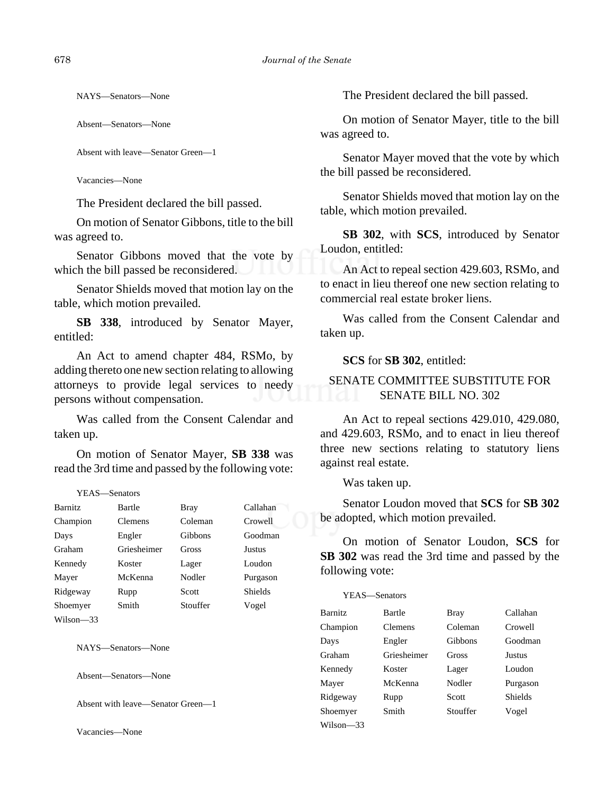NAYS—Senators—None

Absent—Senators—None

```
Absent with leave—Senator Green—1
```
Vacancies—None

The President declared the bill passed.

On motion of Senator Gibbons, title to the bill was agreed to.

Senator Gibbons moved that the vote by which the bill passed be reconsidered.

Senator Shields moved that motion lay on the table, which motion prevailed.

**SB 338**, introduced by Senator Mayer, entitled:

An Act to amend chapter 484, RSMo, by adding thereto one new section relating to allowing attorneys to provide legal services to needy persons without compensation.

Was called from the Consent Calendar and taken up.

On motion of Senator Mayer, **SB 338** was read the 3rd time and passed by the following vote:

#### YEAS—Senators

| <b>Barnitz</b> | Bartle         | Bray         | Callahan      |
|----------------|----------------|--------------|---------------|
| Champion       | <b>Clemens</b> | Coleman      | Crowell       |
| Days           | Engler         | Gibbons      | Goodman       |
| Graham         | Griesheimer    | <b>Gross</b> | <b>Justus</b> |
| Kennedy        | Koster         | Lager        | Loudon        |
| Mayer          | McKenna        | Nodler       | Purgason      |
| Ridgeway       | Rupp           | Scott        | Shields       |
| Shoemyer       | Smith          | Stouffer     | Vogel         |
| Wilson—33      |                |              |               |

NAYS—Senators—None

Absent—Senators—None

Absent with leave—Senator Green—1

Vacancies—None

The President declared the bill passed.

On motion of Senator Mayer, title to the bill was agreed to.

Senator Mayer moved that the vote by which the bill passed be reconsidered.

Senator Shields moved that motion lay on the table, which motion prevailed.

**SB 302**, with **SCS**, introduced by Senator Loudon, entitled:

An Act to repeal section 429.603, RSMo, and to enact in lieu thereof one new section relating to commercial real estate broker liens.

Was called from the Consent Calendar and taken up.

#### **SCS** for **SB 302**, entitled:

## SENATE COMMITTEE SUBSTITUTE FOR SENATE BILL NO. 302

An Act to repeal sections 429.010, 429.080, and 429.603, RSMo, and to enact in lieu thereof three new sections relating to statutory liens against real estate.

Was taken up.

Senator Loudon moved that **SCS** for **SB 302** be adopted, which motion prevailed.

On motion of Senator Loudon, **SCS** for **SB 302** was read the 3rd time and passed by the following vote:

| <b>Barnitz</b> | Bartle      | Bray     | Callahan       |
|----------------|-------------|----------|----------------|
| Champion       | Clemens     | Coleman  | Crowell        |
| Days           | Engler      | Gibbons  | Goodman        |
| Graham         | Griesheimer | Gross    | Justus         |
| Kennedy        | Koster      | Lager    | Loudon         |
| Mayer          | McKenna     | Nodler   | Purgason       |
| Ridgeway       | Rupp        | Scott    | <b>Shields</b> |
| Shoemyer       | Smith       | Stouffer | Vogel          |
| Wilson-33      |             |          |                |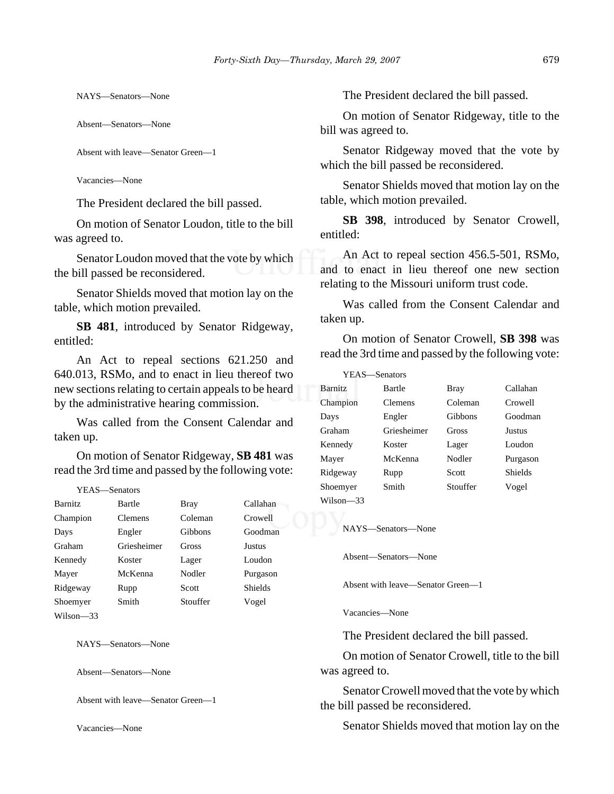NAYS—Senators—None

Absent—Senators—None

Absent with leave—Senator Green—1

Vacancies—None

The President declared the bill passed.

On motion of Senator Loudon, title to the bill was agreed to.

Senator Loudon moved that the vote by which the bill passed be reconsidered.

Senator Shields moved that motion lay on the table, which motion prevailed.

**SB 481**, introduced by Senator Ridgeway, entitled:

An Act to repeal sections 621.250 and 640.013, RSMo, and to enact in lieu thereof two new sections relating to certain appeals to be heard by the administrative hearing commission.

Was called from the Consent Calendar and taken up.

On motion of Senator Ridgeway, **SB 481** was read the 3rd time and passed by the following vote:

#### YEAS—Senators

| Barnitz   | Bartle      | Bray     | Callahan |
|-----------|-------------|----------|----------|
| Champion  | Clemens     | Coleman  | Crowell  |
| Days      | Engler      | Gibbons  | Goodman  |
| Graham    | Griesheimer | Gross    | Justus   |
| Kennedy   | Koster      | Lager    | Loudon   |
| Mayer     | McKenna     | Nodler   | Purgason |
| Ridgeway  | Rupp        | Scott    | Shields  |
| Shoemyer  | Smith       | Stouffer | Vogel    |
| Wilson—33 |             |          |          |

NAYS—Senators—None

Absent—Senators—None

Absent with leave—Senator Green—1

Vacancies—None

The President declared the bill passed.

On motion of Senator Ridgeway, title to the bill was agreed to.

Senator Ridgeway moved that the vote by which the bill passed be reconsidered.

Senator Shields moved that motion lay on the table, which motion prevailed.

**SB 398**, introduced by Senator Crowell, entitled:

An Act to repeal section 456.5-501, RSMo, and to enact in lieu thereof one new section relating to the Missouri uniform trust code.

Was called from the Consent Calendar and taken up.

On motion of Senator Crowell, **SB 398** was read the 3rd time and passed by the following vote:

| YEAS—Senators |             |          |          |
|---------------|-------------|----------|----------|
| Barnitz       | Bartle      | Bray     | Callahan |
| Champion      | Clemens     | Coleman  | Crowell  |
| Days          | Engler      | Gibbons  | Goodman  |
| Graham        | Griesheimer | Gross    | Justus   |
| Kennedy       | Koster      | Lager    | Loudon   |
| Mayer         | McKenna     | Nodler   | Purgason |
| Ridgeway      | Rupp        | Scott    | Shields  |
| Shoemver      | Smith       | Stouffer | Vogel    |
| Wilson—33     |             |          |          |

NAYS—Senators—None

Absent—Senators—None

Absent with leave—Senator Green—1

Vacancies—None

The President declared the bill passed.

On motion of Senator Crowell, title to the bill was agreed to.

Senator Crowell moved that the vote by which the bill passed be reconsidered.

Senator Shields moved that motion lay on the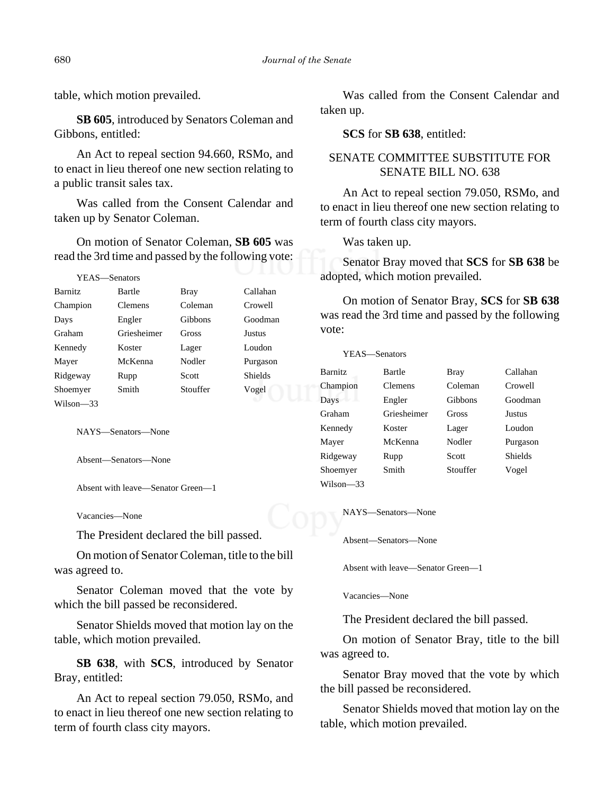table, which motion prevailed.

**SB 605**, introduced by Senators Coleman and Gibbons, entitled:

An Act to repeal section 94.660, RSMo, and to enact in lieu thereof one new section relating to a public transit sales tax.

Was called from the Consent Calendar and taken up by Senator Coleman.

On motion of Senator Coleman, **SB 605** was read the 3rd time and passed by the following vote:

YEAS—Senators

| <b>Barnitz</b> | Bartle         | Bray     | Callahan       |
|----------------|----------------|----------|----------------|
| Champion       | <b>Clemens</b> | Coleman  | Crowell        |
| Days           | Engler         | Gibbons  | Goodman        |
| Graham         | Griesheimer    | Gross    | Justus         |
| Kennedy        | Koster         | Lager    | Loudon         |
| Mayer          | McKenna        | Nodler   | Purgason       |
| Ridgeway       | Rupp           | Scott    | <b>Shields</b> |
| Shoemyer       | Smith          | Stouffer | Vogel          |
| Wilson-33      |                |          |                |

NAYS—Senators—None

Absent—Senators—None

Absent with leave—Senator Green—1

Vacancies—None

The President declared the bill passed.

On motion of Senator Coleman, title to the bill was agreed to.

Senator Coleman moved that the vote by which the bill passed be reconsidered.

Senator Shields moved that motion lay on the table, which motion prevailed.

**SB 638**, with **SCS**, introduced by Senator Bray, entitled:

An Act to repeal section 79.050, RSMo, and to enact in lieu thereof one new section relating to term of fourth class city mayors.

Was called from the Consent Calendar and taken up.

**SCS** for **SB 638**, entitled:

#### SENATE COMMITTEE SUBSTITUTE FOR SENATE BILL NO. 638

An Act to repeal section 79.050, RSMo, and to enact in lieu thereof one new section relating to term of fourth class city mayors.

Was taken up.

Senator Bray moved that **SCS** for **SB 638** be adopted, which motion prevailed.

On motion of Senator Bray, **SCS** for **SB 638** was read the 3rd time and passed by the following vote:

|                | YEAS—Senators |          |                |
|----------------|---------------|----------|----------------|
| <b>Barnitz</b> | Bartle        | Bray     | Callahan       |
| Champion       | Clemens       | Coleman  | Crowell        |
| Days           | Engler        | Gibbons  | Goodman        |
| Graham         | Griesheimer   | Gross    | Justus         |
| Kennedy        | Koster        | Lager    | Loudon         |
| Mayer          | McKenna       | Nodler   | Purgason       |
| Ridgeway       | Rupp          | Scott    | <b>Shields</b> |
| Shoemyer       | Smith         | Stouffer | Vogel          |
| Wilson—33      |               |          |                |

NAYS—Senators—None

Absent—Senators—None

Absent with leave—Senator Green—1

Vacancies—None

The President declared the bill passed.

On motion of Senator Bray, title to the bill was agreed to.

Senator Bray moved that the vote by which the bill passed be reconsidered.

Senator Shields moved that motion lay on the table, which motion prevailed.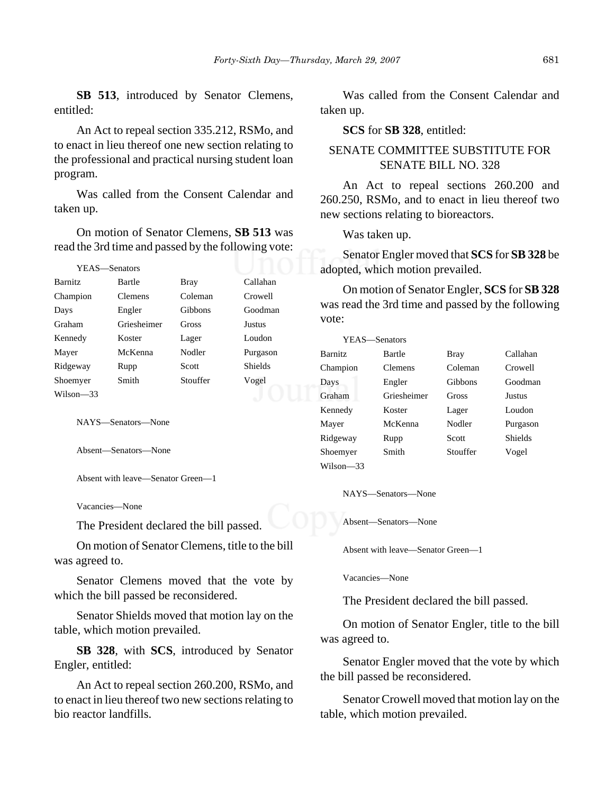**SB 513**, introduced by Senator Clemens, entitled:

An Act to repeal section 335.212, RSMo, and to enact in lieu thereof one new section relating to the professional and practical nursing student loan program.

Was called from the Consent Calendar and taken up.

On motion of Senator Clemens, **SB 513** was read the 3rd time and passed by the following vote:

| YEAS-Senators  |                |             |                |
|----------------|----------------|-------------|----------------|
| <b>Barnitz</b> | Bartle         | <b>Bray</b> | Callahan       |
| Champion       | <b>Clemens</b> | Coleman     | Crowell        |
| Days           | Engler         | Gibbons     | Goodman        |
| Graham         | Griesheimer    | Gross       | Justus         |
| Kennedy        | Koster         | Lager       | Loudon         |
| Mayer          | McKenna        | Nodler      | Purgason       |
| Ridgeway       | Rupp           | Scott       | <b>Shields</b> |
| Shoemyer       | Smith          | Stouffer    | Vogel          |
| Wilson-33      |                |             |                |

NAYS—Senators—None

Absent—Senators—None

Absent with leave—Senator Green—1

Vacancies—None

The President declared the bill passed.

On motion of Senator Clemens, title to the bill was agreed to.

Senator Clemens moved that the vote by which the bill passed be reconsidered.

Senator Shields moved that motion lay on the table, which motion prevailed.

**SB 328**, with **SCS**, introduced by Senator Engler, entitled:

An Act to repeal section 260.200, RSMo, and to enact in lieu thereof two new sections relating to bio reactor landfills.

Was called from the Consent Calendar and taken up.

**SCS** for **SB 328**, entitled:

## SENATE COMMITTEE SUBSTITUTE FOR SENATE BILL NO. 328

An Act to repeal sections 260.200 and 260.250, RSMo, and to enact in lieu thereof two new sections relating to bioreactors.

Was taken up.

Senator Engler moved that **SCS** for **SB 328** be adopted, which motion prevailed.

On motion of Senator Engler, **SCS** for **SB 328** was read the 3rd time and passed by the following vote:

|                | YEAS—Senators |             |                |
|----------------|---------------|-------------|----------------|
| <b>Barnitz</b> | Bartle        | <b>Bray</b> | Callahan       |
| Champion       | Clemens       | Coleman     | Crowell        |
| Days           | Engler        | Gibbons     | Goodman        |
| Graham         | Griesheimer   | Gross       | <b>Justus</b>  |
| Kennedy        | Koster        | Lager       | Loudon         |
| Mayer          | McKenna       | Nodler      | Purgason       |
| Ridgeway       | Rupp          | Scott       | <b>Shields</b> |
| Shoemyer       | Smith         | Stouffer    | Vogel          |
| Wilson—33      |               |             |                |

NAYS—Senators—None

Absent—Senators—None

Absent with leave—Senator Green—1

Vacancies—None

The President declared the bill passed.

On motion of Senator Engler, title to the bill was agreed to.

Senator Engler moved that the vote by which the bill passed be reconsidered.

Senator Crowell moved that motion lay on the table, which motion prevailed.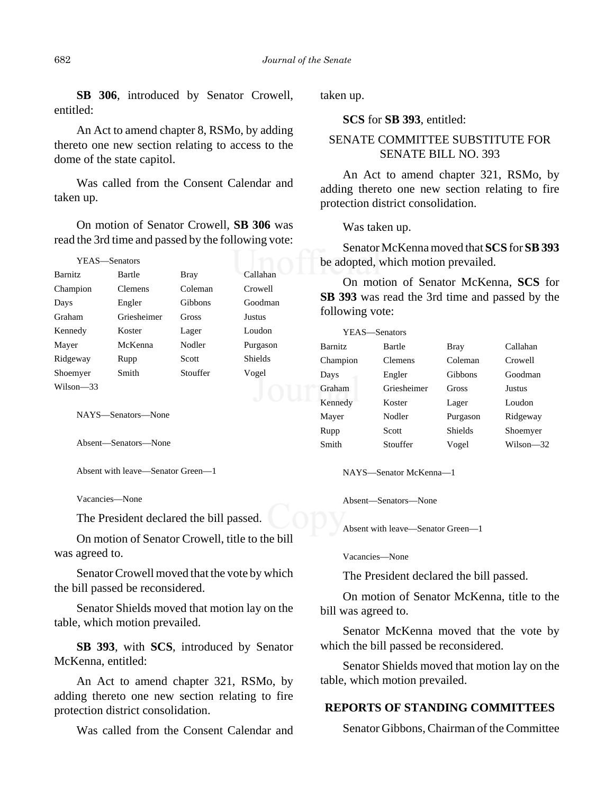**SB 306**, introduced by Senator Crowell, entitled:

An Act to amend chapter 8, RSMo, by adding thereto one new section relating to access to the dome of the state capitol.

Was called from the Consent Calendar and taken up.

On motion of Senator Crowell, **SB 306** was read the 3rd time and passed by the following vote:

| YEAS—Senators  |                |             |                |
|----------------|----------------|-------------|----------------|
| <b>Barnitz</b> | Bartle         | <b>Bray</b> | Callahan       |
| Champion       | <b>Clemens</b> | Coleman     | Crowell        |
| Days           | Engler         | Gibbons     | Goodman        |
| Graham         | Griesheimer    | Gross       | Justus         |
| Kennedy        | Koster         | Lager       | Loudon         |
| Mayer          | McKenna        | Nodler      | Purgason       |
| Ridgeway       | Rupp           | Scott       | <b>Shields</b> |
| Shoemyer       | Smith          | Stouffer    | Vogel          |
| Wilson—33      |                |             |                |

NAYS—Senators—None

Absent—Senators—None

Absent with leave—Senator Green—1

Vacancies—None

The President declared the bill passed.

On motion of Senator Crowell, title to the bill was agreed to.

Senator Crowell moved that the vote by which the bill passed be reconsidered.

Senator Shields moved that motion lay on the table, which motion prevailed.

**SB 393**, with **SCS**, introduced by Senator McKenna, entitled:

An Act to amend chapter 321, RSMo, by adding thereto one new section relating to fire protection district consolidation.

Was called from the Consent Calendar and

taken up.

**SCS** for **SB 393**, entitled:

## SENATE COMMITTEE SUBSTITUTE FOR SENATE BILL NO. 393

An Act to amend chapter 321, RSMo, by adding thereto one new section relating to fire protection district consolidation.

Was taken up.

Senator McKenna moved that **SCS** for **SB 393** be adopted, which motion prevailed.

On motion of Senator McKenna, **SCS** for **SB 393** was read the 3rd time and passed by the following vote:

| YEAS—Senators  |             |          |           |
|----------------|-------------|----------|-----------|
| <b>Barnitz</b> | Bartle      | Bray     | Callahan  |
| Champion       | Clemens     | Coleman  | Crowell   |
| Days           | Engler      | Gibbons  | Goodman   |
| Graham         | Griesheimer | Gross    | Justus    |
| Kennedy        | Koster      | Lager    | Loudon    |
| Mayer          | Nodler      | Purgason | Ridgeway  |
| Rupp           | Scott       | Shields  | Shoemyer  |
| Smith          | Stouffer    | Vogel    | Wilson—32 |

NAYS—Senator McKenna—1

Absent—Senators—None

Absent with leave—Senator Green—1

Vacancies—None

The President declared the bill passed.

On motion of Senator McKenna, title to the bill was agreed to.

Senator McKenna moved that the vote by which the bill passed be reconsidered.

Senator Shields moved that motion lay on the table, which motion prevailed.

#### **REPORTS OF STANDING COMMITTEES**

Senator Gibbons, Chairman of the Committee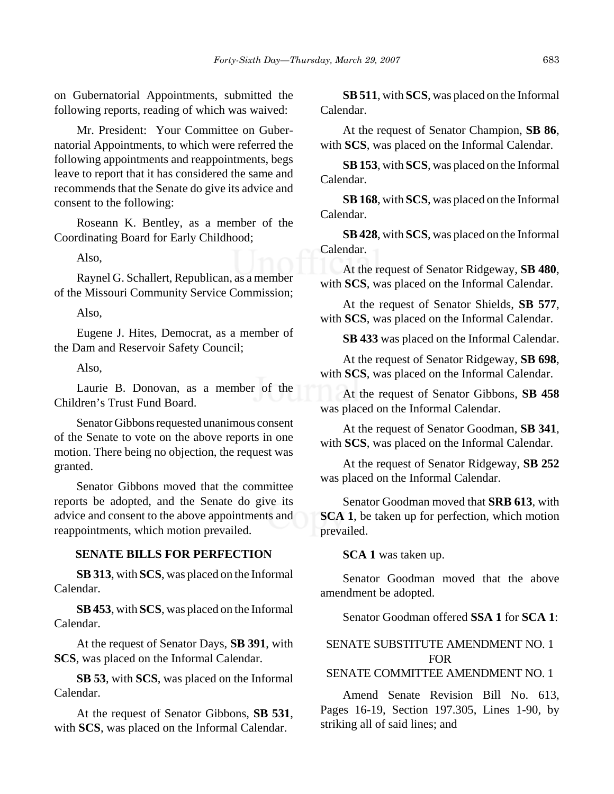on Gubernatorial Appointments, submitted the following reports, reading of which was waived:

Mr. President: Your Committee on Gubernatorial Appointments, to which were referred the following appointments and reappointments, begs leave to report that it has considered the same and recommends that the Senate do give its advice and consent to the following:

Roseann K. Bentley, as a member of the Coordinating Board for Early Childhood;

Also,

Raynel G. Schallert, Republican, as a member of the Missouri Community Service Commission;

Also,

Eugene J. Hites, Democrat, as a member of the Dam and Reservoir Safety Council;

Also,

Laurie B. Donovan, as a member of the Children's Trust Fund Board.

Senator Gibbons requested unanimous consent of the Senate to vote on the above reports in one motion. There being no objection, the request was granted.

Senator Gibbons moved that the committee reports be adopted, and the Senate do give its advice and consent to the above appointments and reappointments, which motion prevailed.

## **SENATE BILLS FOR PERFECTION**

**SB 313**, with **SCS**, was placed on the Informal Calendar.

**SB 453**, with **SCS**, was placed on the Informal Calendar.

At the request of Senator Days, **SB 391**, with **SCS**, was placed on the Informal Calendar.

**SB 53**, with **SCS**, was placed on the Informal Calendar.

At the request of Senator Gibbons, **SB 531**, with **SCS**, was placed on the Informal Calendar.

**SB 511**, with **SCS**, was placed on the Informal Calendar.

At the request of Senator Champion, **SB 86**, with **SCS**, was placed on the Informal Calendar.

**SB 153**, with **SCS**, was placed on the Informal Calendar.

**SB 168**, with **SCS**, was placed on the Informal Calendar.

**SB 428**, with **SCS**, was placed on the Informal Calendar.

At the request of Senator Ridgeway, **SB 480**, with **SCS**, was placed on the Informal Calendar.

At the request of Senator Shields, **SB 577**, with **SCS**, was placed on the Informal Calendar.

**SB 433** was placed on the Informal Calendar.

At the request of Senator Ridgeway, **SB 698**, with **SCS**, was placed on the Informal Calendar.

At the request of Senator Gibbons, **SB 458** was placed on the Informal Calendar.

At the request of Senator Goodman, **SB 341**, with **SCS**, was placed on the Informal Calendar.

At the request of Senator Ridgeway, **SB 252** was placed on the Informal Calendar.

Senator Goodman moved that **SRB 613**, with **SCA 1**, be taken up for perfection, which motion prevailed.

**SCA 1** was taken up.

Senator Goodman moved that the above amendment be adopted.

Senator Goodman offered **SSA 1** for **SCA 1**:

# SENATE SUBSTITUTE AMENDMENT NO. 1 FOR

SENATE COMMITTEE AMENDMENT NO. 1

Amend Senate Revision Bill No. 613, Pages 16-19, Section 197.305, Lines 1-90, by striking all of said lines; and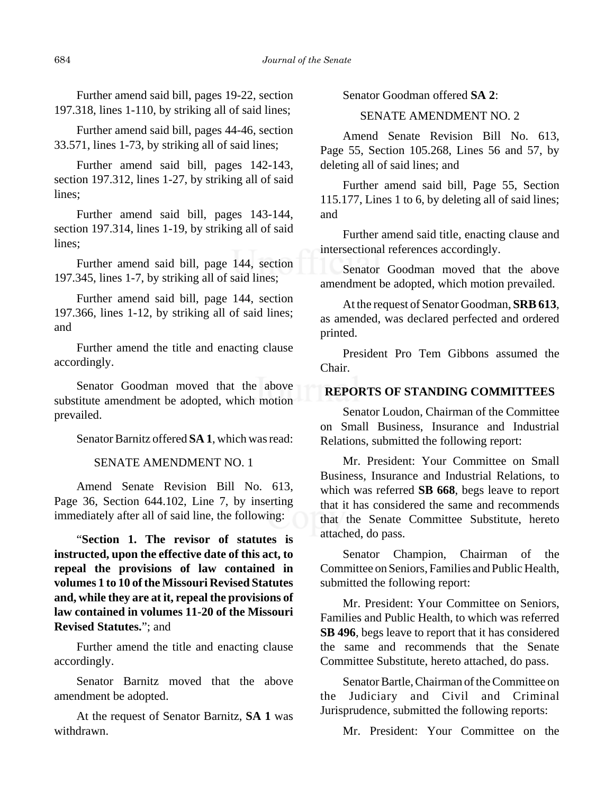Further amend said bill, pages 19-22, section 197.318, lines 1-110, by striking all of said lines;

Further amend said bill, pages 44-46, section 33.571, lines 1-73, by striking all of said lines;

Further amend said bill, pages 142-143, section 197.312, lines 1-27, by striking all of said lines;

Further amend said bill, pages 143-144, section 197.314, lines 1-19, by striking all of said lines;

Further amend said bill, page 144, section 197.345, lines 1-7, by striking all of said lines;

Further amend said bill, page 144, section 197.366, lines 1-12, by striking all of said lines; and

Further amend the title and enacting clause accordingly.

Senator Goodman moved that the above substitute amendment be adopted, which motion prevailed.

Senator Barnitz offered **SA 1**, which was read:

#### SENATE AMENDMENT NO. 1

Amend Senate Revision Bill No. 613, Page 36, Section 644.102, Line 7, by inserting immediately after all of said line, the following:

"**Section 1. The revisor of statutes is instructed, upon the effective date of this act, to repeal the provisions of law contained in volumes 1 to 10 of the Missouri Revised Statutes and, while they are at it, repeal the provisions of law contained in volumes 11-20 of the Missouri Revised Statutes.**"; and

Further amend the title and enacting clause accordingly.

Senator Barnitz moved that the above amendment be adopted.

At the request of Senator Barnitz, **SA 1** was withdrawn.

Senator Goodman offered **SA 2**:

#### SENATE AMENDMENT NO. 2

Amend Senate Revision Bill No. 613, Page 55, Section 105.268, Lines 56 and 57, by deleting all of said lines; and

Further amend said bill, Page 55, Section 115.177, Lines 1 to 6, by deleting all of said lines; and

Further amend said title, enacting clause and intersectional references accordingly.

Senator Goodman moved that the above amendment be adopted, which motion prevailed.

At the request of Senator Goodman, **SRB 613**, as amended, was declared perfected and ordered printed.

President Pro Tem Gibbons assumed the Chair.

#### **REPORTS OF STANDING COMMITTEES**

Senator Loudon, Chairman of the Committee on Small Business, Insurance and Industrial Relations, submitted the following report:

Mr. President: Your Committee on Small Business, Insurance and Industrial Relations, to which was referred **SB 668**, begs leave to report that it has considered the same and recommends that the Senate Committee Substitute, hereto attached, do pass.

Senator Champion, Chairman of the Committee on Seniors, Families and Public Health, submitted the following report:

Mr. President: Your Committee on Seniors, Families and Public Health, to which was referred **SB 496**, begs leave to report that it has considered the same and recommends that the Senate Committee Substitute, hereto attached, do pass.

Senator Bartle, Chairman of the Committee on the Judiciary and Civil and Criminal Jurisprudence, submitted the following reports:

Mr. President: Your Committee on the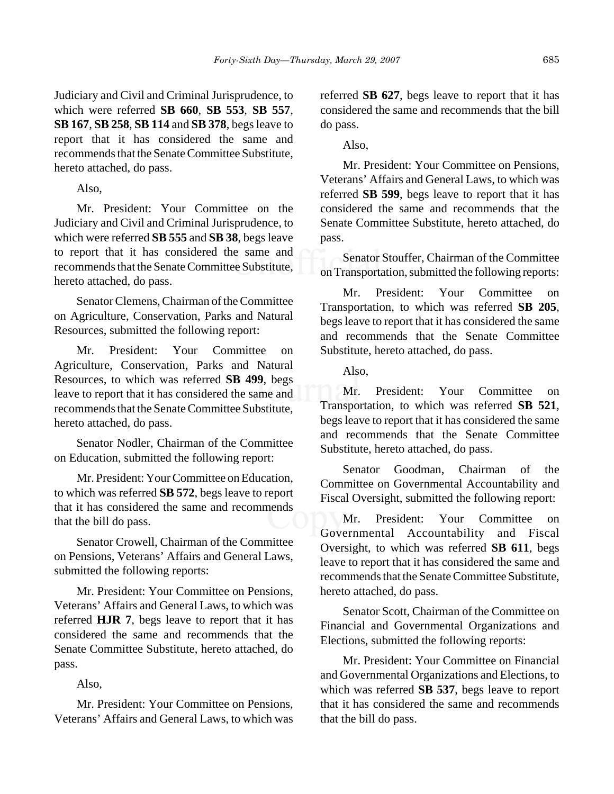Judiciary and Civil and Criminal Jurisprudence, to which were referred **SB 660**, **SB 553**, **SB 557**, **SB 167**, **SB 258**, **SB 114** and **SB 378**, begs leave to report that it has considered the same and recommends that the Senate Committee Substitute, hereto attached, do pass.

Also,

Mr. President: Your Committee on the Judiciary and Civil and Criminal Jurisprudence, to which were referred **SB 555** and **SB 38**, begs leave to report that it has considered the same and recommends that the Senate Committee Substitute, hereto attached, do pass.

Senator Clemens, Chairman of the Committee on Agriculture, Conservation, Parks and Natural Resources, submitted the following report:

Mr. President: Your Committee on Agriculture, Conservation, Parks and Natural Resources, to which was referred **SB 499**, begs leave to report that it has considered the same and recommends that the Senate Committee Substitute, hereto attached, do pass.

Senator Nodler, Chairman of the Committee on Education, submitted the following report:

Mr. President: Your Committee on Education, to which was referred **SB 572**, begs leave to report that it has considered the same and recommends that the bill do pass.

Senator Crowell, Chairman of the Committee on Pensions, Veterans' Affairs and General Laws, submitted the following reports:

Mr. President: Your Committee on Pensions, Veterans' Affairs and General Laws, to which was referred **HJR 7**, begs leave to report that it has considered the same and recommends that the Senate Committee Substitute, hereto attached, do pass.

Also,

Mr. President: Your Committee on Pensions, Veterans' Affairs and General Laws, to which was referred **SB 627**, begs leave to report that it has considered the same and recommends that the bill do pass.

Also,

Mr. President: Your Committee on Pensions, Veterans' Affairs and General Laws, to which was referred **SB 599**, begs leave to report that it has considered the same and recommends that the Senate Committee Substitute, hereto attached, do pass.

Senator Stouffer, Chairman of the Committee on Transportation, submitted the following reports:

Mr. President: Your Committee on Transportation, to which was referred **SB 205**, begs leave to report that it has considered the same and recommends that the Senate Committee Substitute, hereto attached, do pass.

Also,

Mr. President: Your Committee on Transportation, to which was referred **SB 521**, begs leave to report that it has considered the same and recommends that the Senate Committee Substitute, hereto attached, do pass.

Senator Goodman, Chairman of the Committee on Governmental Accountability and Fiscal Oversight, submitted the following report:

Mr. President: Your Committee Governmental Accountability and Fiscal Oversight, to which was referred **SB 611**, begs leave to report that it has considered the same and recommends that the Senate Committee Substitute, hereto attached, do pass.

Senator Scott, Chairman of the Committee on Financial and Governmental Organizations and Elections, submitted the following reports:

Mr. President: Your Committee on Financial and Governmental Organizations and Elections, to which was referred **SB 537**, begs leave to report that it has considered the same and recommends that the bill do pass.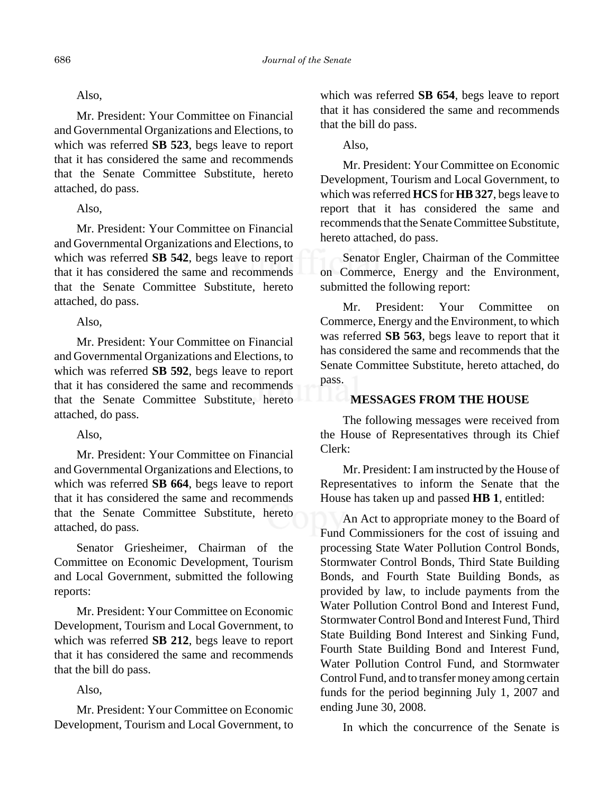# Also,

Mr. President: Your Committee on Financial and Governmental Organizations and Elections, to which was referred **SB 523**, begs leave to report that it has considered the same and recommends that the Senate Committee Substitute, hereto attached, do pass.

# Also,

Mr. President: Your Committee on Financial and Governmental Organizations and Elections, to which was referred **SB 542**, begs leave to report that it has considered the same and recommends that the Senate Committee Substitute, hereto attached, do pass.

Also,

Mr. President: Your Committee on Financial and Governmental Organizations and Elections, to which was referred **SB 592**, begs leave to report that it has considered the same and recommends that the Senate Committee Substitute, hereto attached, do pass.

Also,

Mr. President: Your Committee on Financial and Governmental Organizations and Elections, to which was referred **SB 664**, begs leave to report that it has considered the same and recommends that the Senate Committee Substitute, hereto attached, do pass.

Senator Griesheimer, Chairman of the Committee on Economic Development, Tourism and Local Government, submitted the following reports:

Mr. President: Your Committee on Economic Development, Tourism and Local Government, to which was referred **SB 212**, begs leave to report that it has considered the same and recommends that the bill do pass.

Also,

Mr. President: Your Committee on Economic Development, Tourism and Local Government, to which was referred **SB 654**, begs leave to report that it has considered the same and recommends that the bill do pass.

Also,

Mr. President: Your Committee on Economic Development, Tourism and Local Government, to which was referred **HCS** for **HB 327**, begs leave to report that it has considered the same and recommends that the Senate Committee Substitute, hereto attached, do pass.

Senator Engler, Chairman of the Committee on Commerce, Energy and the Environment, submitted the following report:

Mr. President: Your Committee on Commerce, Energy and the Environment, to which was referred **SB 563**, begs leave to report that it has considered the same and recommends that the Senate Committee Substitute, hereto attached, do pass.

# **MESSAGES FROM THE HOUSE**

The following messages were received from the House of Representatives through its Chief Clerk:

Mr. President: I am instructed by the House of Representatives to inform the Senate that the House has taken up and passed **HB 1**, entitled:

An Act to appropriate money to the Board of Fund Commissioners for the cost of issuing and processing State Water Pollution Control Bonds, Stormwater Control Bonds, Third State Building Bonds, and Fourth State Building Bonds, as provided by law, to include payments from the Water Pollution Control Bond and Interest Fund, Stormwater Control Bond and Interest Fund, Third State Building Bond Interest and Sinking Fund, Fourth State Building Bond and Interest Fund, Water Pollution Control Fund, and Stormwater Control Fund, and to transfer money among certain funds for the period beginning July 1, 2007 and ending June 30, 2008.

In which the concurrence of the Senate is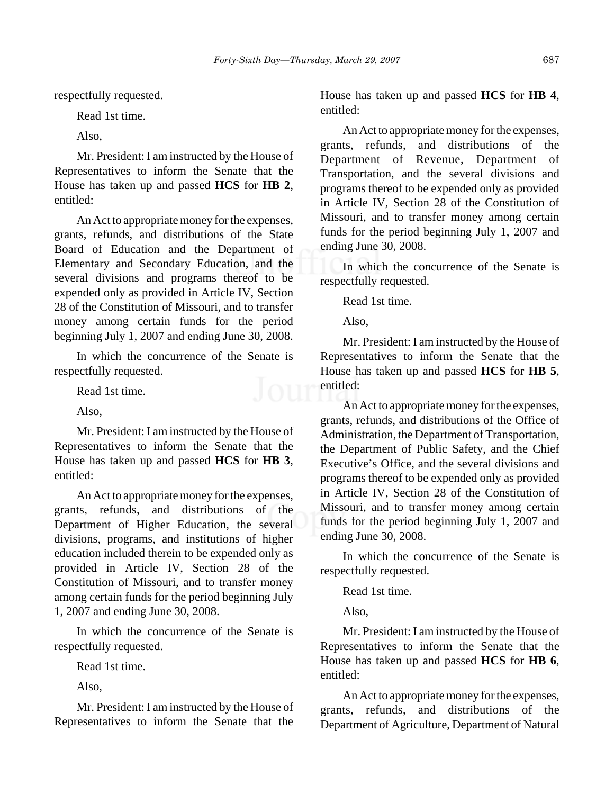respectfully requested.

Read 1st time.

Also,

Mr. President: I am instructed by the House of Representatives to inform the Senate that the House has taken up and passed **HCS** for **HB 2**, entitled:

An Act to appropriate money for the expenses, grants, refunds, and distributions of the State Board of Education and the Department of Elementary and Secondary Education, and the several divisions and programs thereof to be expended only as provided in Article IV, Section 28 of the Constitution of Missouri, and to transfer money among certain funds for the period beginning July 1, 2007 and ending June 30, 2008.

In which the concurrence of the Senate is respectfully requested.

Read 1st time.

Also,

Mr. President: I am instructed by the House of Representatives to inform the Senate that the House has taken up and passed **HCS** for **HB 3**, entitled:

An Act to appropriate money for the expenses, grants, refunds, and distributions of the Department of Higher Education, the several divisions, programs, and institutions of higher education included therein to be expended only as provided in Article IV, Section 28 of the Constitution of Missouri, and to transfer money among certain funds for the period beginning July 1, 2007 and ending June 30, 2008.

In which the concurrence of the Senate is respectfully requested.

Read 1st time.

Also,

Mr. President: I am instructed by the House of Representatives to inform the Senate that the

House has taken up and passed **HCS** for **HB 4**, entitled:

An Act to appropriate money for the expenses, grants, refunds, and distributions of the Department of Revenue, Department of Transportation, and the several divisions and programs thereof to be expended only as provided in Article IV, Section 28 of the Constitution of Missouri, and to transfer money among certain funds for the period beginning July 1, 2007 and ending June 30, 2008.

In which the concurrence of the Senate is respectfully requested.

Read 1st time.

Also,

Mr. President: I am instructed by the House of Representatives to inform the Senate that the House has taken up and passed **HCS** for **HB 5**, **OUT** entitled:

An Act to appropriate money for the expenses, grants, refunds, and distributions of the Office of Administration, the Department of Transportation, the Department of Public Safety, and the Chief Executive's Office, and the several divisions and programs thereof to be expended only as provided in Article IV, Section 28 of the Constitution of Missouri, and to transfer money among certain funds for the period beginning July 1, 2007 and ending June 30, 2008.

In which the concurrence of the Senate is respectfully requested.

Read 1st time.

Also,

Mr. President: I am instructed by the House of Representatives to inform the Senate that the House has taken up and passed **HCS** for **HB 6**, entitled:

An Act to appropriate money for the expenses, grants, refunds, and distributions of the Department of Agriculture, Department of Natural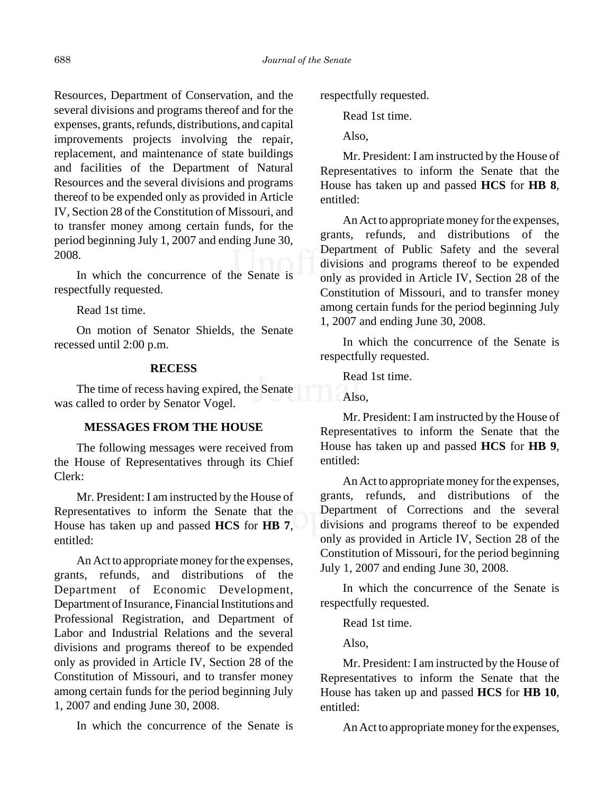Resources, Department of Conservation, and the several divisions and programs thereof and for the expenses, grants, refunds, distributions, and capital improvements projects involving the repair, replacement, and maintenance of state buildings and facilities of the Department of Natural Resources and the several divisions and programs thereof to be expended only as provided in Article IV, Section 28 of the Constitution of Missouri, and to transfer money among certain funds, for the period beginning July 1, 2007 and ending June 30, 2008.

In which the concurrence of the Senate is respectfully requested.

Read 1st time.

On motion of Senator Shields, the Senate recessed until 2:00 p.m.

#### **RECESS**

The time of recess having expired, the Senate was called to order by Senator Vogel.

#### **MESSAGES FROM THE HOUSE**

The following messages were received from the House of Representatives through its Chief Clerk:

Mr. President: I am instructed by the House of Representatives to inform the Senate that the House has taken up and passed **HCS** for **HB 7**, entitled:

An Act to appropriate money for the expenses, grants, refunds, and distributions of the Department of Economic Development, Department of Insurance, Financial Institutions and Professional Registration, and Department of Labor and Industrial Relations and the several divisions and programs thereof to be expended only as provided in Article IV, Section 28 of the Constitution of Missouri, and to transfer money among certain funds for the period beginning July 1, 2007 and ending June 30, 2008.

In which the concurrence of the Senate is

respectfully requested.

Read 1st time.

Also,

Mr. President: I am instructed by the House of Representatives to inform the Senate that the House has taken up and passed **HCS** for **HB 8**, entitled:

An Act to appropriate money for the expenses, grants, refunds, and distributions of the Department of Public Safety and the several divisions and programs thereof to be expended only as provided in Article IV, Section 28 of the Constitution of Missouri, and to transfer money among certain funds for the period beginning July 1, 2007 and ending June 30, 2008.

In which the concurrence of the Senate is respectfully requested.

Read 1st time.

Also,

Mr. President: I am instructed by the House of Representatives to inform the Senate that the House has taken up and passed **HCS** for **HB 9**, entitled:

An Act to appropriate money for the expenses, grants, refunds, and distributions of the Department of Corrections and the several divisions and programs thereof to be expended only as provided in Article IV, Section 28 of the Constitution of Missouri, for the period beginning July 1, 2007 and ending June 30, 2008.

In which the concurrence of the Senate is respectfully requested.

Read 1st time.

Also,

Mr. President: I am instructed by the House of Representatives to inform the Senate that the House has taken up and passed **HCS** for **HB 10**, entitled:

An Act to appropriate money for the expenses,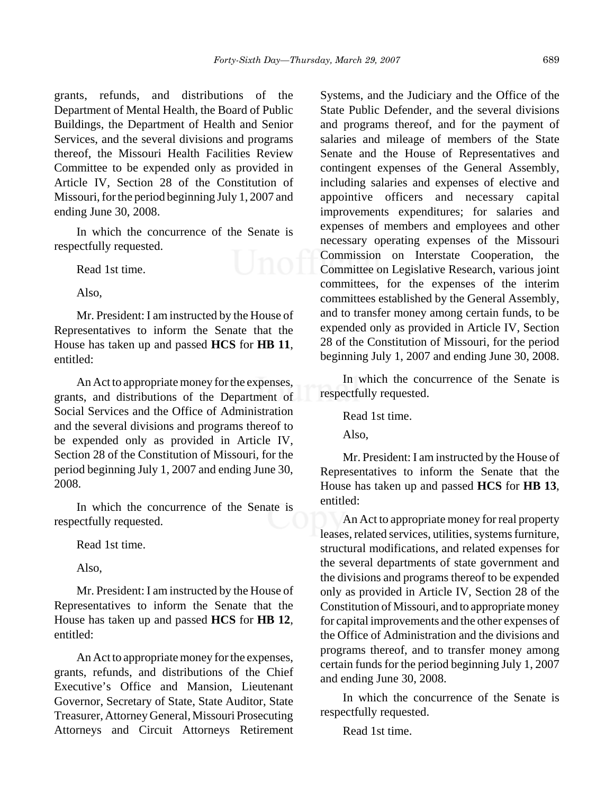grants, refunds, and distributions of the Department of Mental Health, the Board of Public Buildings, the Department of Health and Senior Services, and the several divisions and programs thereof, the Missouri Health Facilities Review Committee to be expended only as provided in Article IV, Section 28 of the Constitution of Missouri, for the period beginning July 1, 2007 and ending June 30, 2008.

In which the concurrence of the Senate is respectfully requested.

Read 1st time.

Also,

Mr. President: I am instructed by the House of Representatives to inform the Senate that the House has taken up and passed **HCS** for **HB 11**, entitled:

An Act to appropriate money for the expenses, grants, and distributions of the Department of Social Services and the Office of Administration and the several divisions and programs thereof to be expended only as provided in Article IV, Section 28 of the Constitution of Missouri, for the period beginning July 1, 2007 and ending June 30, 2008.

In which the concurrence of the Senate is respectfully requested.

Read 1st time.

Also,

Mr. President: I am instructed by the House of Representatives to inform the Senate that the House has taken up and passed **HCS** for **HB 12**, entitled:

An Act to appropriate money for the expenses, grants, refunds, and distributions of the Chief Executive's Office and Mansion, Lieutenant Governor, Secretary of State, State Auditor, State Treasurer, Attorney General, Missouri Prosecuting Attorneys and Circuit Attorneys Retirement Systems, and the Judiciary and the Office of the State Public Defender, and the several divisions and programs thereof, and for the payment of salaries and mileage of members of the State Senate and the House of Representatives and contingent expenses of the General Assembly, including salaries and expenses of elective and appointive officers and necessary capital improvements expenditures; for salaries and expenses of members and employees and other necessary operating expenses of the Missouri Commission on Interstate Cooperation, the Committee on Legislative Research, various joint committees, for the expenses of the interim committees established by the General Assembly, and to transfer money among certain funds, to be expended only as provided in Article IV, Section 28 of the Constitution of Missouri, for the period beginning July 1, 2007 and ending June 30, 2008.

In which the concurrence of the Senate is respectfully requested.

Read 1st time.

Also,

Mr. President: I am instructed by the House of Representatives to inform the Senate that the House has taken up and passed **HCS** for **HB 13**, entitled:

An Act to appropriate money for real property leases, related services, utilities, systems furniture, structural modifications, and related expenses for the several departments of state government and the divisions and programs thereof to be expended only as provided in Article IV, Section 28 of the Constitution of Missouri, and to appropriate money for capital improvements and the other expenses of the Office of Administration and the divisions and programs thereof, and to transfer money among certain funds for the period beginning July 1, 2007 and ending June 30, 2008.

In which the concurrence of the Senate is respectfully requested.

Read 1st time.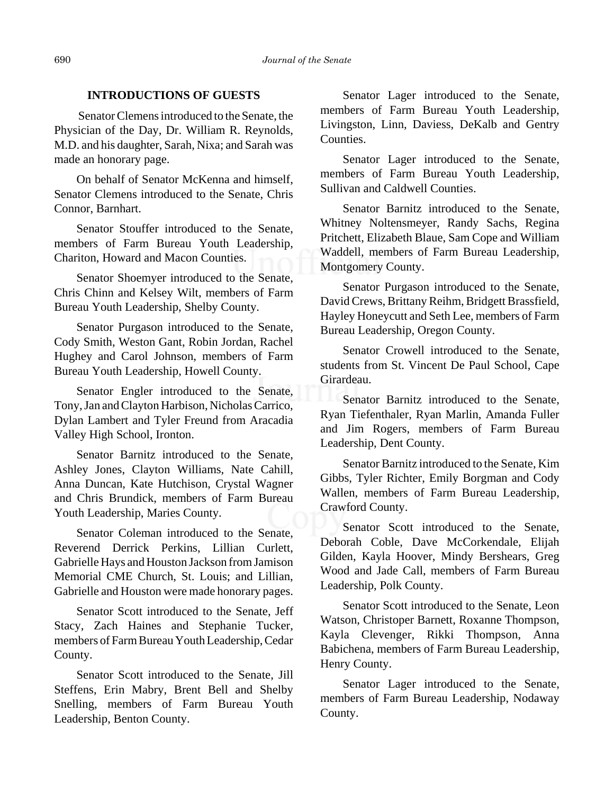#### **INTRODUCTIONS OF GUESTS**

 Senator Clemens introduced to the Senate, the Physician of the Day, Dr. William R. Reynolds, M.D. and his daughter, Sarah, Nixa; and Sarah was made an honorary page.

On behalf of Senator McKenna and himself, Senator Clemens introduced to the Senate, Chris Connor, Barnhart.

Senator Stouffer introduced to the Senate, members of Farm Bureau Youth Leadership, Chariton, Howard and Macon Counties.

Senator Shoemyer introduced to the Senate, Chris Chinn and Kelsey Wilt, members of Farm Bureau Youth Leadership, Shelby County.

Senator Purgason introduced to the Senate, Cody Smith, Weston Gant, Robin Jordan, Rachel Hughey and Carol Johnson, members of Farm Bureau Youth Leadership, Howell County.

Senator Engler introduced to the Senate, Tony, Jan and Clayton Harbison, Nicholas Carrico, Dylan Lambert and Tyler Freund from Aracadia Valley High School, Ironton.

Senator Barnitz introduced to the Senate, Ashley Jones, Clayton Williams, Nate Cahill, Anna Duncan, Kate Hutchison, Crystal Wagner and Chris Brundick, members of Farm Bureau Youth Leadership, Maries County.

Senator Coleman introduced to the Senate, Reverend Derrick Perkins, Lillian Curlett, Gabrielle Hays and Houston Jackson from Jamison Memorial CME Church, St. Louis; and Lillian, Gabrielle and Houston were made honorary pages.

Senator Scott introduced to the Senate, Jeff Stacy, Zach Haines and Stephanie Tucker, members of Farm Bureau Youth Leadership, Cedar County.

Senator Scott introduced to the Senate, Jill Steffens, Erin Mabry, Brent Bell and Shelby Snelling, members of Farm Bureau Youth Leadership, Benton County.

Senator Lager introduced to the Senate, members of Farm Bureau Youth Leadership, Livingston, Linn, Daviess, DeKalb and Gentry Counties.

Senator Lager introduced to the Senate, members of Farm Bureau Youth Leadership, Sullivan and Caldwell Counties.

Senator Barnitz introduced to the Senate, Whitney Noltensmeyer, Randy Sachs, Regina Pritchett, Elizabeth Blaue, Sam Cope and William Waddell, members of Farm Bureau Leadership, Montgomery County.

Senator Purgason introduced to the Senate, David Crews, Brittany Reihm, Bridgett Brassfield, Hayley Honeycutt and Seth Lee, members of Farm Bureau Leadership, Oregon County.

Senator Crowell introduced to the Senate, students from St. Vincent De Paul School, Cape Girardeau.

Senator Barnitz introduced to the Senate, Ryan Tiefenthaler, Ryan Marlin, Amanda Fuller and Jim Rogers, members of Farm Bureau Leadership, Dent County.

Senator Barnitz introduced to the Senate, Kim Gibbs, Tyler Richter, Emily Borgman and Cody Wallen, members of Farm Bureau Leadership, Crawford County.

Senator Scott introduced to the Senate, Deborah Coble, Dave McCorkendale, Elijah Gilden, Kayla Hoover, Mindy Bershears, Greg Wood and Jade Call, members of Farm Bureau Leadership, Polk County.

Senator Scott introduced to the Senate, Leon Watson, Christoper Barnett, Roxanne Thompson, Kayla Clevenger, Rikki Thompson, Anna Babichena, members of Farm Bureau Leadership, Henry County.

Senator Lager introduced to the Senate, members of Farm Bureau Leadership, Nodaway County.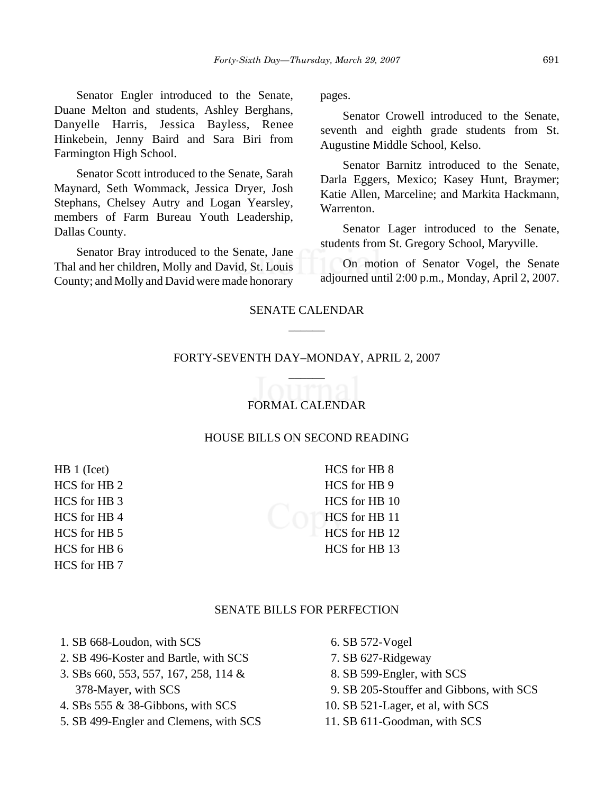Senator Engler introduced to the Senate, Duane Melton and students, Ashley Berghans, Danyelle Harris, Jessica Bayless, Renee Hinkebein, Jenny Baird and Sara Biri from Farmington High School.

Senator Scott introduced to the Senate, Sarah Maynard, Seth Wommack, Jessica Dryer, Josh Stephans, Chelsey Autry and Logan Yearsley, members of Farm Bureau Youth Leadership, Dallas County.

Senator Bray introduced to the Senate, Jane Thal and her children, Molly and David, St. Louis County; and Molly and David were made honorary pages.

Senator Crowell introduced to the Senate, seventh and eighth grade students from St. Augustine Middle School, Kelso.

Senator Barnitz introduced to the Senate, Darla Eggers, Mexico; Kasey Hunt, Braymer; Katie Allen, Marceline; and Markita Hackmann, Warrenton.

Senator Lager introduced to the Senate, students from St. Gregory School, Maryville.

On motion of Senator Vogel, the Senate adjourned until 2:00 p.m., Monday, April 2, 2007.

# SENATE CALENDAR  $\overline{\phantom{a}}$

# FORTY-SEVENTH DAY–MONDAY, APRIL 2, 2007 \_\_\_\_\_\_

# FORMAL CALENDAR

#### HOUSE BILLS ON SECOND READING

HB 1 (Icet) HCS for HB 2 HCS for HB 3 HCS for HB 4 HCS for HB 5 HCS for HB 6 HCS for HB 7

HCS for HB 8 HCS for HB 9 HCS for HB 10 HCS for HB 11 HCS for HB 12 HCS for HB 13

#### SENATE BILLS FOR PERFECTION

- 1. SB 668-Loudon, with SCS
- 2. SB 496-Koster and Bartle, with SCS
- 3. SBs 660, 553, 557, 167, 258, 114 & 378-Mayer, with SCS
- 4. SBs 555 & 38-Gibbons, with SCS
- 5. SB 499-Engler and Clemens, with SCS
- 6. SB 572-Vogel
- 7. SB 627-Ridgeway
- 8. SB 599-Engler, with SCS
- 9. SB 205-Stouffer and Gibbons, with SCS
- 10. SB 521-Lager, et al, with SCS
- 11. SB 611-Goodman, with SCS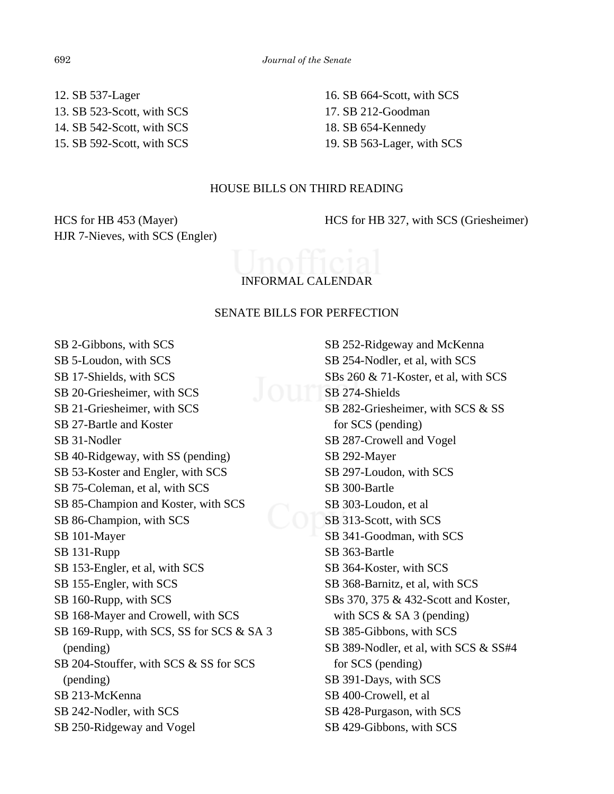12. SB 537-Lager 13. SB 523-Scott, with SCS 14. SB 542-Scott, with SCS 15. SB 592-Scott, with SCS 16. SB 664-Scott, with SCS 17. SB 212-Goodman 18. SB 654-Kennedy 19. SB 563-Lager, with SCS

#### HOUSE BILLS ON THIRD READING

HCS for HB 453 (Mayer) HJR 7-Nieves, with SCS (Engler) HCS for HB 327, with SCS (Griesheimer)

# INFORMAL CALENDAR

#### SENATE BILLS FOR PERFECTION

SB 2-Gibbons, with SCS SB 5-Loudon, with SCS SB 17-Shields, with SCS SB 20-Griesheimer, with SCS SB 21-Griesheimer, with SCS SB 27-Bartle and Koster SB 31-Nodler SB 40-Ridgeway, with SS (pending) SB 53-Koster and Engler, with SCS SB 75-Coleman, et al, with SCS SB 85-Champion and Koster, with SCS SB 86-Champion, with SCS SB 101-Mayer SB 131-Rupp SB 153-Engler, et al, with SCS SB 155-Engler, with SCS SB 160-Rupp, with SCS SB 168-Mayer and Crowell, with SCS SB 169-Rupp, with SCS, SS for SCS & SA 3 (pending) SB 204-Stouffer, with SCS & SS for SCS (pending) SB 213-McKenna SB 242-Nodler, with SCS SB 250-Ridgeway and Vogel

SB 252-Ridgeway and McKenna SB 254-Nodler, et al, with SCS SBs 260 & 71-Koster, et al, with SCS SB 274-Shields SB 282-Griesheimer, with SCS & SS for SCS (pending) SB 287-Crowell and Vogel SB 292-Mayer SB 297-Loudon, with SCS SB 300-Bartle SB 303-Loudon, et al SB 313-Scott, with SCS SB 341-Goodman, with SCS SB 363-Bartle SB 364-Koster, with SCS SB 368-Barnitz, et al, with SCS SBs 370, 375 & 432-Scott and Koster, with SCS  $&$  SA 3 (pending) SB 385-Gibbons, with SCS SB 389-Nodler, et al, with SCS & SS#4 for SCS (pending) SB 391-Days, with SCS SB 400-Crowell, et al SB 428-Purgason, with SCS SB 429-Gibbons, with SCS